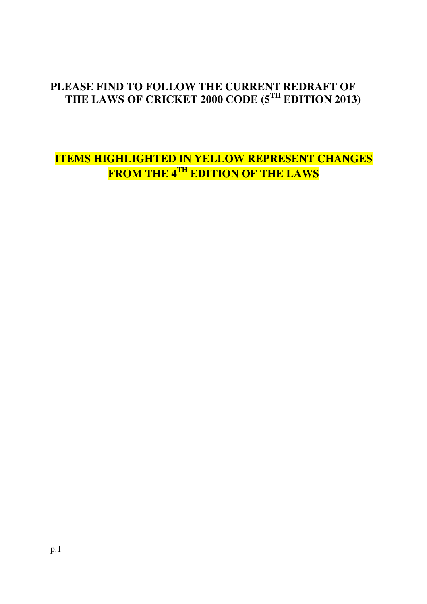# **PLEASE FIND TO FOLLOW THE CURRENT REDRAFT OF THE LAWS OF CRICKET 2000 CODE (5TH EDITION 2013)**

**ITEMS HIGHLIGHTED IN YELLOW REPRESENT CHANGES FROM THE 4TH EDITION OF THE LAWS**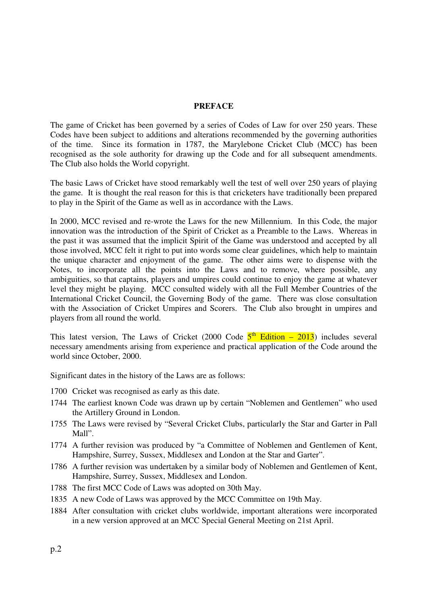#### **PREFACE**

The game of Cricket has been governed by a series of Codes of Law for over 250 years. These Codes have been subject to additions and alterations recommended by the governing authorities of the time. Since its formation in 1787, the Marylebone Cricket Club (MCC) has been recognised as the sole authority for drawing up the Code and for all subsequent amendments. The Club also holds the World copyright.

The basic Laws of Cricket have stood remarkably well the test of well over 250 years of playing the game. It is thought the real reason for this is that cricketers have traditionally been prepared to play in the Spirit of the Game as well as in accordance with the Laws.

In 2000, MCC revised and re-wrote the Laws for the new Millennium. In this Code, the major innovation was the introduction of the Spirit of Cricket as a Preamble to the Laws. Whereas in the past it was assumed that the implicit Spirit of the Game was understood and accepted by all those involved, MCC felt it right to put into words some clear guidelines, which help to maintain the unique character and enjoyment of the game. The other aims were to dispense with the Notes, to incorporate all the points into the Laws and to remove, where possible, any ambiguities, so that captains, players and umpires could continue to enjoy the game at whatever level they might be playing. MCC consulted widely with all the Full Member Countries of the International Cricket Council, the Governing Body of the game. There was close consultation with the Association of Cricket Umpires and Scorers. The Club also brought in umpires and players from all round the world.

This latest version, The Laws of Cricket (2000 Code  $5<sup>th</sup>$  Edition – 2013) includes several necessary amendments arising from experience and practical application of the Code around the world since October, 2000.

Significant dates in the history of the Laws are as follows:

- 1700 Cricket was recognised as early as this date.
- 1744 The earliest known Code was drawn up by certain "Noblemen and Gentlemen" who used the Artillery Ground in London.
- 1755 The Laws were revised by "Several Cricket Clubs, particularly the Star and Garter in Pall Mall".
- 1774 A further revision was produced by "a Committee of Noblemen and Gentlemen of Kent, Hampshire, Surrey, Sussex, Middlesex and London at the Star and Garter".
- 1786 A further revision was undertaken by a similar body of Noblemen and Gentlemen of Kent, Hampshire, Surrey, Sussex, Middlesex and London.
- 1788 The first MCC Code of Laws was adopted on 30th May.
- 1835 A new Code of Laws was approved by the MCC Committee on 19th May.
- 1884 After consultation with cricket clubs worldwide, important alterations were incorporated in a new version approved at an MCC Special General Meeting on 21st April.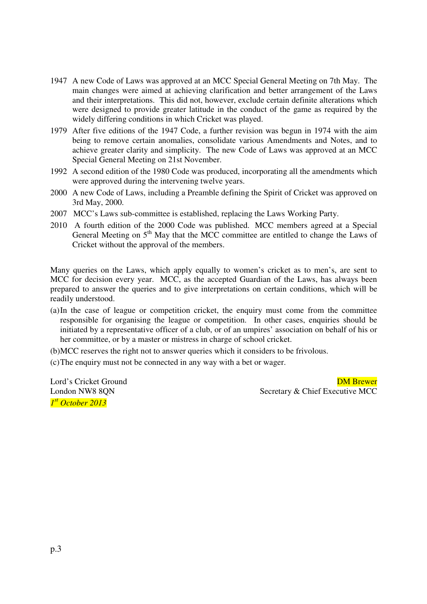- 1947 A new Code of Laws was approved at an MCC Special General Meeting on 7th May. The main changes were aimed at achieving clarification and better arrangement of the Laws and their interpretations. This did not, however, exclude certain definite alterations which were designed to provide greater latitude in the conduct of the game as required by the widely differing conditions in which Cricket was played.
- 1979 After five editions of the 1947 Code, a further revision was begun in 1974 with the aim being to remove certain anomalies, consolidate various Amendments and Notes, and to achieve greater clarity and simplicity. The new Code of Laws was approved at an MCC Special General Meeting on 21st November.
- 1992 A second edition of the 1980 Code was produced, incorporating all the amendments which were approved during the intervening twelve years.
- 2000 A new Code of Laws, including a Preamble defining the Spirit of Cricket was approved on 3rd May, 2000.
- 2007 MCC's Laws sub-committee is established, replacing the Laws Working Party.
- 2010 A fourth edition of the 2000 Code was published. MCC members agreed at a Special General Meeting on  $5<sup>th</sup>$  May that the MCC committee are entitled to change the Laws of Cricket without the approval of the members.

Many queries on the Laws, which apply equally to women's cricket as to men's, are sent to MCC for decision every year. MCC, as the accepted Guardian of the Laws, has always been prepared to answer the queries and to give interpretations on certain conditions, which will be readily understood.

(a) In the case of league or competition cricket, the enquiry must come from the committee responsible for organising the league or competition. In other cases, enquiries should be initiated by a representative officer of a club, or of an umpires' association on behalf of his or her committee, or by a master or mistress in charge of school cricket.

(b) MCC reserves the right not to answer queries which it considers to be frivolous.

(c) The enquiry must not be connected in any way with a bet or wager.

*1 st October 2013* 

**Lord's Cricket Ground Community Community Community Community Community Community Community Community Community Community Community Community Community Community Community Community Community Community Community Community** London NW8 8QN Secretary & Chief Executive MCC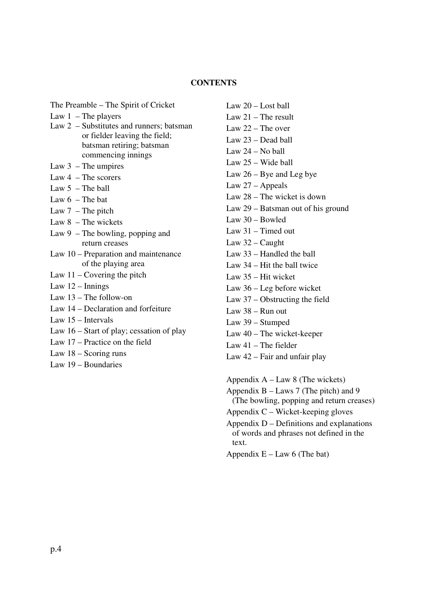#### **CONTENTS**

The Preamble – The Spirit of Cricket Law  $1$  – The players Law 2 – Substitutes and runners; batsman or fielder leaving the field; batsman retiring; batsman commencing innings Law  $3$  – The umpires Law  $4$  – The scorers Law  $5$  – The ball Law  $6$  – The bat Law  $7$  – The pitch Law 8 – The wickets Law 9 – The bowling, popping and return creases Law 10 – Preparation and maintenance of the playing area Law  $11$  – Covering the pitch Law 12 – Innings Law 13 – The follow-on Law 14 – Declaration and forfeiture Law 15 – Intervals Law 16 – Start of play; cessation of play Law 17 – Practice on the field Law 18 – Scoring runs

Law 19 – Boundaries

Law 20 – Lost ball Law 21 – The result Law 22 – The over Law 23 – Dead ball Law 24 – No ball Law 25 – Wide ball Law 26 – Bye and Leg bye Law 27 – Appeals Law 28 – The wicket is down Law 29 – Batsman out of his ground Law 30 – Bowled Law 31 – Timed out Law 32 – Caught Law 33 – Handled the ball Law 34 – Hit the ball twice Law 35 – Hit wicket Law 36 – Leg before wicket Law 37 – Obstructing the field Law 38 – Run out Law 39 – Stumped Law 40 – The wicket-keeper Law 41 – The fielder Law 42 – Fair and unfair play Appendix  $A - Law 8$  (The wickets)

Appendix  $B - Laws$  7 (The pitch) and 9 (The bowling, popping and return creases)

- Appendix C Wicket-keeping gloves
- Appendix D Definitions and explanations of words and phrases not defined in the text.

Appendix  $E - Law 6$  (The bat)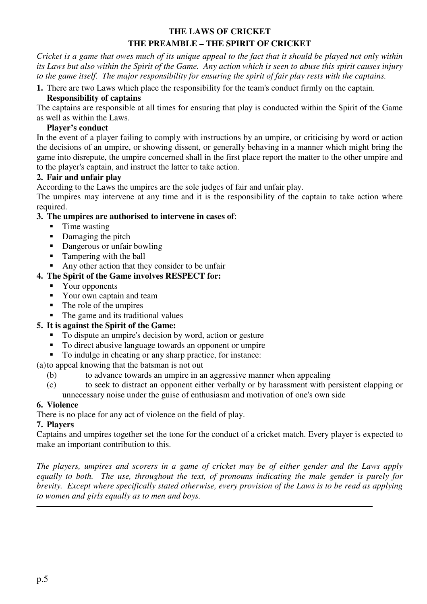# **THE LAWS OF CRICKET THE PREAMBLE – THE SPIRIT OF CRICKET**

*Cricket is a game that owes much of its unique appeal to the fact that it should be played not only within its Laws but also within the Spirit of the Game. Any action which is seen to abuse this spirit causes injury to the game itself. The major responsibility for ensuring the spirit of fair play rests with the captains.* 

**1.** There are two Laws which place the responsibility for the team's conduct firmly on the captain.

#### **Responsibility of captains**

 The captains are responsible at all times for ensuring that play is conducted within the Spirit of the Game as well as within the Laws.

#### **Player's conduct**

 In the event of a player failing to comply with instructions by an umpire, or criticising by word or action the decisions of an umpire, or showing dissent, or generally behaving in a manner which might bring the game into disrepute, the umpire concerned shall in the first place report the matter to the other umpire and to the player's captain, and instruct the latter to take action.

#### **2. Fair and unfair play**

According to the Laws the umpires are the sole judges of fair and unfair play.

 The umpires may intervene at any time and it is the responsibility of the captain to take action where required.

#### **3. The umpires are authorised to intervene in cases of**:

- Time wasting
- Damaging the pitch
- Dangerous or unfair bowling
- Tampering with the ball
- Any other action that they consider to be unfair

#### **4. The Spirit of the Game involves RESPECT for:**

- Your opponents
- **Vour own captain and team**
- $\blacksquare$  The role of the umpires
- The game and its traditional values

#### **5. It is against the Spirit of the Game:**

- To dispute an umpire's decision by word, action or gesture
- To direct abusive language towards an opponent or umpire
- To indulge in cheating or any sharp practice, for instance:

(a) to appeal knowing that the batsman is not out

- (b) to advance towards an umpire in an aggressive manner when appealing
- (c) to seek to distract an opponent either verbally or by harassment with persistent clapping or unnecessary noise under the guise of enthusiasm and motivation of one's own side

#### **6. Violence**

There is no place for any act of violence on the field of play.

#### **7. Players**

 Captains and umpires together set the tone for the conduct of a cricket match. Every player is expected to make an important contribution to this.

*The players, umpires and scorers in a game of cricket may be of either gender and the Laws apply equally to both. The use, throughout the text, of pronouns indicating the male gender is purely for brevity. Except where specifically stated otherwise, every provision of the Laws is to be read as applying to women and girls equally as to men and boys.*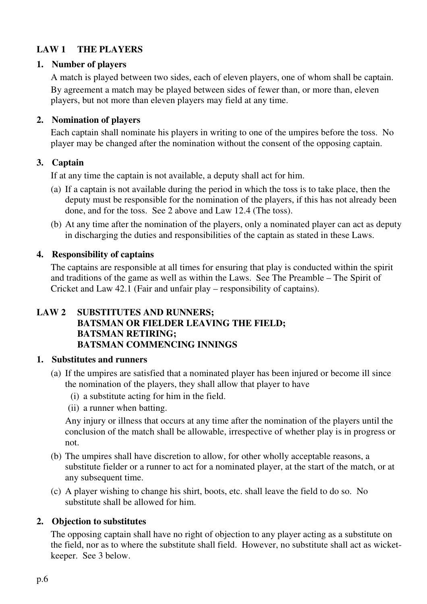# **LAW 1 THE PLAYERS**

### **1. Number of players**

A match is played between two sides, each of eleven players, one of whom shall be captain. By agreement a match may be played between sides of fewer than, or more than, eleven players, but not more than eleven players may field at any time.

# **2. Nomination of players**

Each captain shall nominate his players in writing to one of the umpires before the toss. No player may be changed after the nomination without the consent of the opposing captain.

# **3. Captain**

If at any time the captain is not available, a deputy shall act for him.

- (a) If a captain is not available during the period in which the toss is to take place, then the deputy must be responsible for the nomination of the players, if this has not already been done, and for the toss. See 2 above and Law 12.4 (The toss).
- (b) At any time after the nomination of the players, only a nominated player can act as deputy in discharging the duties and responsibilities of the captain as stated in these Laws.

### **4. Responsibility of captains**

The captains are responsible at all times for ensuring that play is conducted within the spirit and traditions of the game as well as within the Laws. See The Preamble – The Spirit of Cricket and Law 42.1 (Fair and unfair play – responsibility of captains).

#### **LAW 2 SUBSTITUTES AND RUNNERS; BATSMAN OR FIELDER LEAVING THE FIELD; BATSMAN RETIRING; BATSMAN COMMENCING INNINGS**

#### **1. Substitutes and runners**

- (a) If the umpires are satisfied that a nominated player has been injured or become ill since the nomination of the players, they shall allow that player to have
	- (i) a substitute acting for him in the field.
	- (ii) a runner when batting.

Any injury or illness that occurs at any time after the nomination of the players until the conclusion of the match shall be allowable, irrespective of whether play is in progress or not.

- (b) The umpires shall have discretion to allow, for other wholly acceptable reasons, a substitute fielder or a runner to act for a nominated player, at the start of the match, or at any subsequent time.
- (c) A player wishing to change his shirt, boots, etc. shall leave the field to do so. No substitute shall be allowed for him.

# **2. Objection to substitutes**

The opposing captain shall have no right of objection to any player acting as a substitute on the field, nor as to where the substitute shall field. However, no substitute shall act as wicketkeeper. See 3 below.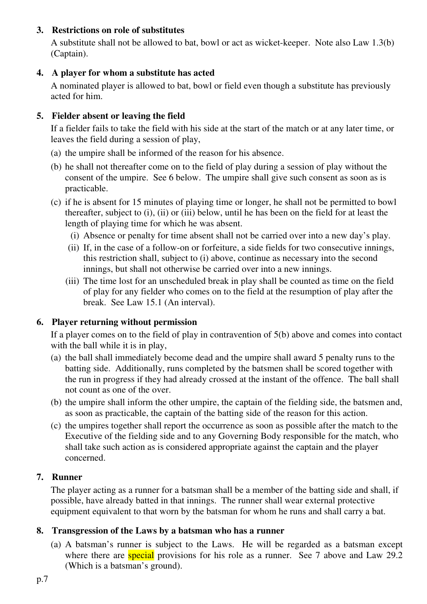# **3. Restrictions on role of substitutes**

A substitute shall not be allowed to bat, bowl or act as wicket-keeper. Note also Law 1.3(b) (Captain).

# **4. A player for whom a substitute has acted**

A nominated player is allowed to bat, bowl or field even though a substitute has previously acted for him.

# **5. Fielder absent or leaving the field**

If a fielder fails to take the field with his side at the start of the match or at any later time, or leaves the field during a session of play,

- (a) the umpire shall be informed of the reason for his absence.
- (b) he shall not thereafter come on to the field of play during a session of play without the consent of the umpire. See 6 below. The umpire shall give such consent as soon as is practicable.
- (c) if he is absent for 15 minutes of playing time or longer, he shall not be permitted to bowl thereafter, subject to (i), (ii) or (iii) below, until he has been on the field for at least the length of playing time for which he was absent.
	- (i) Absence or penalty for time absent shall not be carried over into a new day's play.
	- (ii) If, in the case of a follow-on or forfeiture, a side fields for two consecutive innings, this restriction shall, subject to (i) above, continue as necessary into the second innings, but shall not otherwise be carried over into a new innings.
	- (iii) The time lost for an unscheduled break in play shall be counted as time on the field of play for any fielder who comes on to the field at the resumption of play after the break. See Law 15.1 (An interval).

# **6. Player returning without permission**

If a player comes on to the field of play in contravention of 5(b) above and comes into contact with the ball while it is in play,

- (a) the ball shall immediately become dead and the umpire shall award 5 penalty runs to the batting side. Additionally, runs completed by the batsmen shall be scored together with the run in progress if they had already crossed at the instant of the offence. The ball shall not count as one of the over.
- (b) the umpire shall inform the other umpire, the captain of the fielding side, the batsmen and, as soon as practicable, the captain of the batting side of the reason for this action.
- (c) the umpires together shall report the occurrence as soon as possible after the match to the Executive of the fielding side and to any Governing Body responsible for the match, who shall take such action as is considered appropriate against the captain and the player concerned.

# **7. Runner**

The player acting as a runner for a batsman shall be a member of the batting side and shall, if possible, have already batted in that innings. The runner shall wear external protective equipment equivalent to that worn by the batsman for whom he runs and shall carry a bat.

# **8. Transgression of the Laws by a batsman who has a runner**

(a) A batsman's runner is subject to the Laws. He will be regarded as a batsman except where there are **special** provisions for his role as a runner. See 7 above and Law 29.2 (Which is a batsman's ground).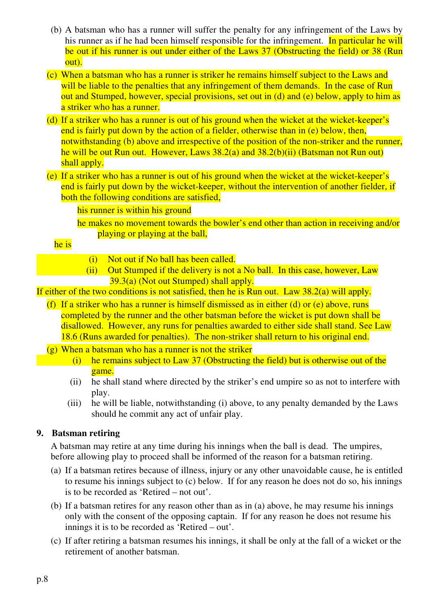- (b) A batsman who has a runner will suffer the penalty for any infringement of the Laws by his runner as if he had been himself responsible for the infringement. In particular he will be out if his runner is out under either of the Laws 37 (Obstructing the field) or 38 (Run out).
- (c) When a batsman who has a runner is striker he remains himself subject to the Laws and will be liable to the penalties that any infringement of them demands. In the case of Run out and Stumped, however, special provisions, set out in (d) and (e) below, apply to him as a striker who has a runner.
- (d) If a striker who has a runner is out of his ground when the wicket at the wicket-keeper's end is fairly put down by the action of a fielder, otherwise than in (e) below, then, notwithstanding (b) above and irrespective of the position of the non-striker and the runner, he will be out Run out. However, Laws 38.2(a) and 38.2(b)(ii) (Batsman not Run out) shall apply.
- (e) If a striker who has a runner is out of his ground when the wicket at the wicket-keeper's end is fairly put down by the wicket-keeper, without the intervention of another fielder, if both the following conditions are satisfied.

his runner is within his ground

he makes no movement towards the bowler's end other than action in receiving and/or playing or playing at the ball,

### he is

- (i) Not out if No ball has been called.
- (ii) Out Stumped if the delivery is not a No ball. In this case, however, Law 39.3(a) (Not out Stumped) shall apply.
- If either of the two conditions is not satisfied, then he is Run out. Law 38.2(a) will apply.
	- (f) If a striker who has a runner is himself dismissed as in either (d) or (e) above, runs completed by the runner and the other batsman before the wicket is put down shall be disallowed. However, any runs for penalties awarded to either side shall stand. See Law 18.6 (Runs awarded for penalties). The non-striker shall return to his original end.
	- $(s)$  When a batsman who has a runner is not the striker
		- (i) he remains subject to Law 37 (Obstructing the field) but is otherwise out of the game.
		- (ii) he shall stand where directed by the striker's end umpire so as not to interfere with play.
		- (iii) he will be liable, notwithstanding (i) above, to any penalty demanded by the Laws should he commit any act of unfair play.

# **9. Batsman retiring**

A batsman may retire at any time during his innings when the ball is dead. The umpires, before allowing play to proceed shall be informed of the reason for a batsman retiring.

- (a) If a batsman retires because of illness, injury or any other unavoidable cause, he is entitled to resume his innings subject to (c) below. If for any reason he does not do so, his innings is to be recorded as 'Retired – not out'.
- (b) If a batsman retires for any reason other than as in (a) above, he may resume his innings only with the consent of the opposing captain. If for any reason he does not resume his innings it is to be recorded as 'Retired – out'.
- (c) If after retiring a batsman resumes his innings, it shall be only at the fall of a wicket or the retirement of another batsman.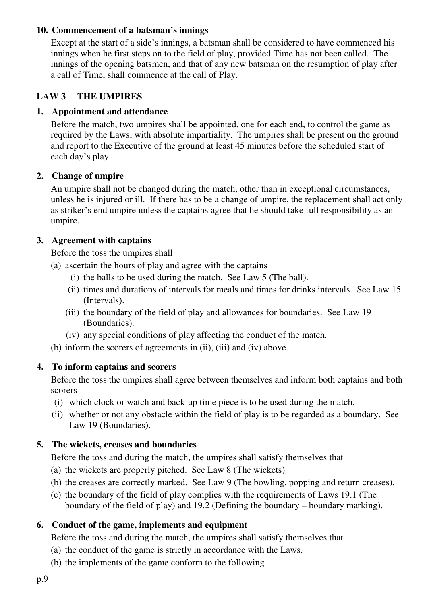### **10. Commencement of a batsman's innings**

Except at the start of a side's innings, a batsman shall be considered to have commenced his innings when he first steps on to the field of play, provided Time has not been called. The innings of the opening batsmen, and that of any new batsman on the resumption of play after a call of Time, shall commence at the call of Play.

# **LAW 3 THE UMPIRES**

# **1. Appointment and attendance**

Before the match, two umpires shall be appointed, one for each end, to control the game as required by the Laws, with absolute impartiality. The umpires shall be present on the ground and report to the Executive of the ground at least 45 minutes before the scheduled start of each day's play.

### **2. Change of umpire**

An umpire shall not be changed during the match, other than in exceptional circumstances, unless he is injured or ill. If there has to be a change of umpire, the replacement shall act only as striker's end umpire unless the captains agree that he should take full responsibility as an umpire.

#### **3. Agreement with captains**

Before the toss the umpires shall

- (a) ascertain the hours of play and agree with the captains
	- (i) the balls to be used during the match. See Law 5 (The ball).
	- (ii) times and durations of intervals for meals and times for drinks intervals. See Law 15 (Intervals).
	- (iii) the boundary of the field of play and allowances for boundaries. See Law 19 (Boundaries).
	- (iv) any special conditions of play affecting the conduct of the match.
- (b) inform the scorers of agreements in (ii), (iii) and (iv) above.

# **4. To inform captains and scorers**

Before the toss the umpires shall agree between themselves and inform both captains and both scorers

- (i) which clock or watch and back-up time piece is to be used during the match.
- (ii) whether or not any obstacle within the field of play is to be regarded as a boundary. See Law 19 (Boundaries).

# **5. The wickets, creases and boundaries**

Before the toss and during the match, the umpires shall satisfy themselves that

- (a) the wickets are properly pitched. See Law 8 (The wickets)
- (b) the creases are correctly marked. See Law 9 (The bowling, popping and return creases).
- (c) the boundary of the field of play complies with the requirements of Laws 19.1 (The boundary of the field of play) and 19.2 (Defining the boundary – boundary marking).

# **6. Conduct of the game, implements and equipment**

Before the toss and during the match, the umpires shall satisfy themselves that

- (a) the conduct of the game is strictly in accordance with the Laws.
- (b) the implements of the game conform to the following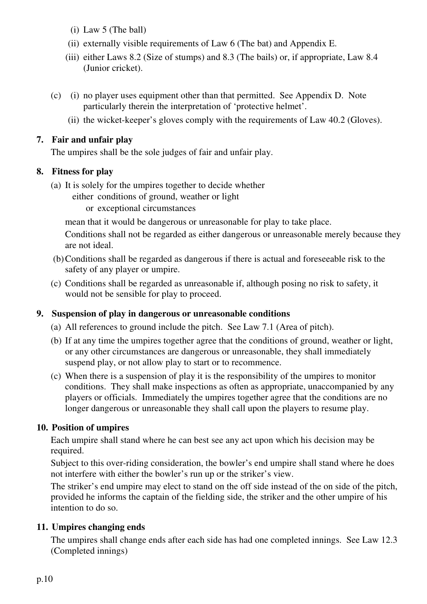- (i) Law 5 (The ball)
- (ii) externally visible requirements of Law 6 (The bat) and Appendix E.
- (iii) either Laws 8.2 (Size of stumps) and 8.3 (The bails) or, if appropriate, Law 8.4 (Junior cricket).
- (c) (i) no player uses equipment other than that permitted. See Appendix D. Note particularly therein the interpretation of 'protective helmet'.
	- (ii) the wicket-keeper's gloves comply with the requirements of Law 40.2 (Gloves).

# **7. Fair and unfair play**

The umpires shall be the sole judges of fair and unfair play.

# **8. Fitness for play**

(a) It is solely for the umpires together to decide whether

either conditions of ground, weather or light

or exceptional circumstances

mean that it would be dangerous or unreasonable for play to take place.

Conditions shall not be regarded as either dangerous or unreasonable merely because they are not ideal.

- (b) Conditions shall be regarded as dangerous if there is actual and foreseeable risk to the safety of any player or umpire.
- (c) Conditions shall be regarded as unreasonable if, although posing no risk to safety, it would not be sensible for play to proceed.

# **9. Suspension of play in dangerous or unreasonable conditions**

- (a) All references to ground include the pitch. See Law 7.1 (Area of pitch).
- (b) If at any time the umpires together agree that the conditions of ground, weather or light, or any other circumstances are dangerous or unreasonable, they shall immediately suspend play, or not allow play to start or to recommence.
- (c) When there is a suspension of play it is the responsibility of the umpires to monitor conditions. They shall make inspections as often as appropriate, unaccompanied by any players or officials. Immediately the umpires together agree that the conditions are no longer dangerous or unreasonable they shall call upon the players to resume play.

# **10. Position of umpires**

Each umpire shall stand where he can best see any act upon which his decision may be required.

Subject to this over-riding consideration, the bowler's end umpire shall stand where he does not interfere with either the bowler's run up or the striker's view.

The striker's end umpire may elect to stand on the off side instead of the on side of the pitch, provided he informs the captain of the fielding side, the striker and the other umpire of his intention to do so.

# **11. Umpires changing ends**

The umpires shall change ends after each side has had one completed innings. See Law 12.3 (Completed innings)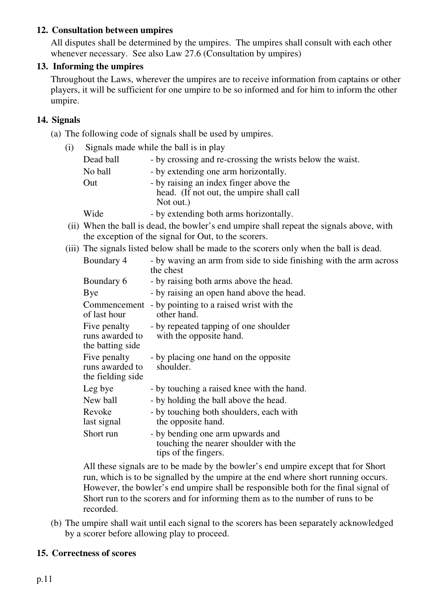### **12. Consultation between umpires**

All disputes shall be determined by the umpires. The umpires shall consult with each other whenever necessary. See also Law 27.6 (Consultation by umpires)

#### **13. Informing the umpires**

Throughout the Laws, wherever the umpires are to receive information from captains or other players, it will be sufficient for one umpire to be so informed and for him to inform the other umpire.

### **14. Signals**

(a) The following code of signals shall be used by umpires.

| (1) | Signals made while the ball is in play |                                                                                                                                                                                                                                                 |  |
|-----|----------------------------------------|-------------------------------------------------------------------------------------------------------------------------------------------------------------------------------------------------------------------------------------------------|--|
|     | Dead ball                              | - by crossing and re-crossing the wrists below the waist.                                                                                                                                                                                       |  |
|     | No ball                                | - by extending one arm horizontally.                                                                                                                                                                                                            |  |
|     | Out                                    | - by raising an index finger above the<br>head. (If not out, the umpire shall call<br>Not out.)                                                                                                                                                 |  |
|     | Wide                                   | - by extending both arms horizontally.                                                                                                                                                                                                          |  |
|     |                                        | $A = 1$ and $A = 1$ and $A = 1$ and $A = 1$ and $A = 1$ and $A = 1$ and $A = 1$ and $A = 1$ and $A = 1$ and $A = 1$ and $A = 1$ and $A = 1$ and $A = 1$ and $A = 1$ and $A = 1$ and $A = 1$ and $A = 1$ and $A = 1$ and $A = 1$ and $A = 1$ and |  |

- (ii) When the ball is dead, the bowler's end umpire shall repeat the signals above, with the exception of the signal for Out, to the scorers.
- (iii) The signals listed below shall be made to the scorers only when the ball is dead.

| Boundary 4                                           | - by waving an arm from side to side finishing with the arm across<br>the chest                   |
|------------------------------------------------------|---------------------------------------------------------------------------------------------------|
| Boundary 6                                           | - by raising both arms above the head.                                                            |
| Bye                                                  | - by raising an open hand above the head.                                                         |
| Commencement<br>of last hour                         | - by pointing to a raised wrist with the<br>other hand.                                           |
| Five penalty<br>runs awarded to<br>the batting side  | - by repeated tapping of one shoulder<br>with the opposite hand.                                  |
| Five penalty<br>runs awarded to<br>the fielding side | - by placing one hand on the opposite<br>shoulder.                                                |
| Leg bye                                              | - by touching a raised knee with the hand.                                                        |
| New ball                                             | - by holding the ball above the head.                                                             |
| Revoke<br>last signal                                | - by touching both shoulders, each with<br>the opposite hand.                                     |
| Short run                                            | - by bending one arm upwards and<br>touching the nearer shoulder with the<br>tips of the fingers. |

All these signals are to be made by the bowler's end umpire except that for Short run, which is to be signalled by the umpire at the end where short running occurs. However, the bowler's end umpire shall be responsible both for the final signal of Short run to the scorers and for informing them as to the number of runs to be recorded.

(b) The umpire shall wait until each signal to the scorers has been separately acknowledged by a scorer before allowing play to proceed.

#### **15. Correctness of scores**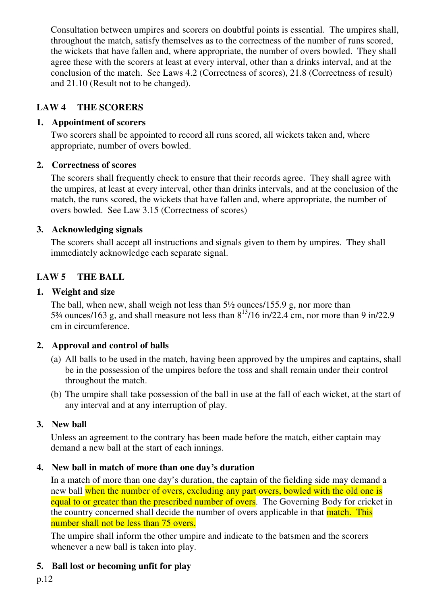Consultation between umpires and scorers on doubtful points is essential. The umpires shall, throughout the match, satisfy themselves as to the correctness of the number of runs scored, the wickets that have fallen and, where appropriate, the number of overs bowled. They shall agree these with the scorers at least at every interval, other than a drinks interval, and at the conclusion of the match. See Laws 4.2 (Correctness of scores), 21.8 (Correctness of result) and 21.10 (Result not to be changed).

# **LAW 4 THE SCORERS**

# **1. Appointment of scorers**

Two scorers shall be appointed to record all runs scored, all wickets taken and, where appropriate, number of overs bowled.

# **2. Correctness of scores**

The scorers shall frequently check to ensure that their records agree. They shall agree with the umpires, at least at every interval, other than drinks intervals, and at the conclusion of the match, the runs scored, the wickets that have fallen and, where appropriate, the number of overs bowled. See Law 3.15 (Correctness of scores)

# **3. Acknowledging signals**

The scorers shall accept all instructions and signals given to them by umpires. They shall immediately acknowledge each separate signal.

# **LAW 5 THE BALL**

# **1. Weight and size**

The ball, when new, shall weigh not less than 5½ ounces/155.9 g, nor more than 5¼ ounces/163 g, and shall measure not less than  $8^{13}/16$  in/22.4 cm, nor more than 9 in/22.9 cm in circumference.

# **2. Approval and control of balls**

- (a) All balls to be used in the match, having been approved by the umpires and captains, shall be in the possession of the umpires before the toss and shall remain under their control throughout the match.
- (b) The umpire shall take possession of the ball in use at the fall of each wicket, at the start of any interval and at any interruption of play.

# **3. New ball**

Unless an agreement to the contrary has been made before the match, either captain may demand a new ball at the start of each innings.

# **4. New ball in match of more than one day's duration**

In a match of more than one day's duration, the captain of the fielding side may demand a new ball when the number of overs, excluding any part overs, bowled with the old one is equal to or greater than the prescribed number of overs. The Governing Body for cricket in the country concerned shall decide the number of overs applicable in that match. This number shall not be less than 75 overs.

The umpire shall inform the other umpire and indicate to the batsmen and the scorers whenever a new ball is taken into play.

# **5. Ball lost or becoming unfit for play**

p.12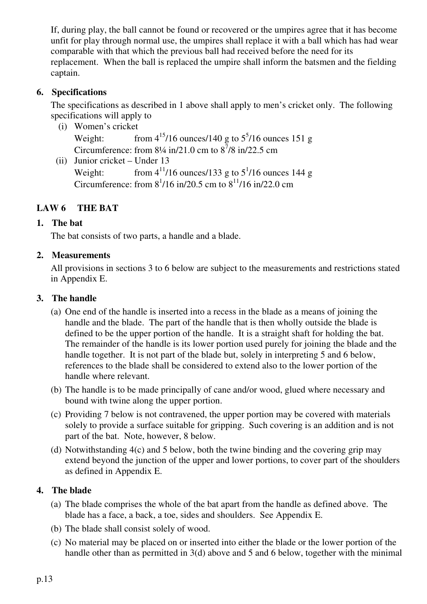If, during play, the ball cannot be found or recovered or the umpires agree that it has become unfit for play through normal use, the umpires shall replace it with a ball which has had wear comparable with that which the previous ball had received before the need for its replacement. When the ball is replaced the umpire shall inform the batsmen and the fielding captain.

# **6. Specifications**

The specifications as described in 1 above shall apply to men's cricket only. The following specifications will apply to

- (i) Women's cricket Weight: from  $4^{15}/16$  ounces/140 g to  $5^5/16$  ounces 151 g Circumference: from  $8\frac{1}{4}$  in/21.0 cm to  $8\frac{7}{8}$  in/22.5 cm (ii) Junior cricket – Under 13
- Weight: from  $4^{11}/16$  ounces/133 g to  $5^{1}/16$  ounces 144 g Circumference: from  $8^{1}/16$  in/20.5 cm to  $8^{11}/16$  in/22.0 cm

# **LAW 6 THE BAT**

# **1. The bat**

The bat consists of two parts, a handle and a blade.

### **2. Measurements**

All provisions in sections 3 to 6 below are subject to the measurements and restrictions stated in Appendix E.

### **3. The handle**

- (a) One end of the handle is inserted into a recess in the blade as a means of joining the handle and the blade. The part of the handle that is then wholly outside the blade is defined to be the upper portion of the handle. It is a straight shaft for holding the bat. The remainder of the handle is its lower portion used purely for joining the blade and the handle together. It is not part of the blade but, solely in interpreting 5 and 6 below, references to the blade shall be considered to extend also to the lower portion of the handle where relevant.
- (b) The handle is to be made principally of cane and/or wood, glued where necessary and bound with twine along the upper portion.
- (c) Providing 7 below is not contravened, the upper portion may be covered with materials solely to provide a surface suitable for gripping. Such covering is an addition and is not part of the bat. Note, however, 8 below.
- (d) Notwithstanding 4(c) and 5 below, both the twine binding and the covering grip may extend beyond the junction of the upper and lower portions, to cover part of the shoulders as defined in Appendix E.

# **4. The blade**

- (a) The blade comprises the whole of the bat apart from the handle as defined above. The blade has a face, a back, a toe, sides and shoulders. See Appendix E.
- (b) The blade shall consist solely of wood.
- (c) No material may be placed on or inserted into either the blade or the lower portion of the handle other than as permitted in 3(d) above and 5 and 6 below, together with the minimal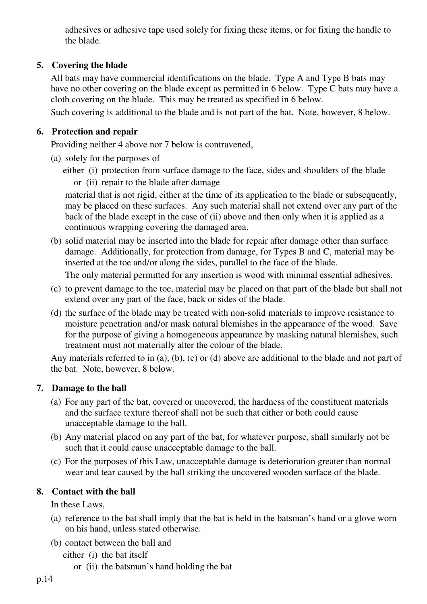adhesives or adhesive tape used solely for fixing these items, or for fixing the handle to the blade.

# **5. Covering the blade**

All bats may have commercial identifications on the blade. Type A and Type B bats may have no other covering on the blade except as permitted in 6 below. Type C bats may have a cloth covering on the blade. This may be treated as specified in 6 below.

Such covering is additional to the blade and is not part of the bat. Note, however, 8 below.

# **6. Protection and repair**

Providing neither 4 above nor 7 below is contravened,

- (a) solely for the purposes of
	- either (i) protection from surface damage to the face, sides and shoulders of the blade
		- or (ii) repair to the blade after damage

material that is not rigid, either at the time of its application to the blade or subsequently, may be placed on these surfaces. Any such material shall not extend over any part of the back of the blade except in the case of (ii) above and then only when it is applied as a continuous wrapping covering the damaged area.

(b) solid material may be inserted into the blade for repair after damage other than surface damage. Additionally, for protection from damage, for Types B and C, material may be inserted at the toe and/or along the sides, parallel to the face of the blade.

The only material permitted for any insertion is wood with minimal essential adhesives.

- (c) to prevent damage to the toe, material may be placed on that part of the blade but shall not extend over any part of the face, back or sides of the blade.
- (d) the surface of the blade may be treated with non-solid materials to improve resistance to moisture penetration and/or mask natural blemishes in the appearance of the wood. Save for the purpose of giving a homogeneous appearance by masking natural blemishes, such treatment must not materially alter the colour of the blade.

Any materials referred to in (a), (b), (c) or (d) above are additional to the blade and not part of the bat. Note, however, 8 below.

# **7. Damage to the ball**

- (a) For any part of the bat, covered or uncovered, the hardness of the constituent materials and the surface texture thereof shall not be such that either or both could cause unacceptable damage to the ball.
- (b) Any material placed on any part of the bat, for whatever purpose, shall similarly not be such that it could cause unacceptable damage to the ball.
- (c) For the purposes of this Law, unacceptable damage is deterioration greater than normal wear and tear caused by the ball striking the uncovered wooden surface of the blade.

# **8. Contact with the ball**

In these Laws,

- (a) reference to the bat shall imply that the bat is held in the batsman's hand or a glove worn on his hand, unless stated otherwise.
- (b) contact between the ball and

either (i) the bat itself

or (ii) the batsman's hand holding the bat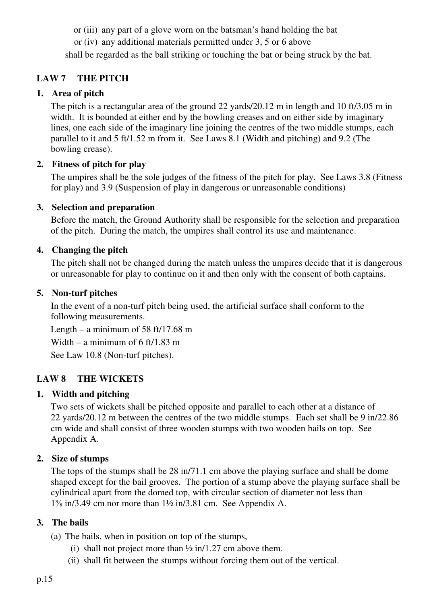or (iii) any part of a glove worn on the batsman's hand holding the bat

or (iv) any additional materials permitted under 3, 5 or 6 above

shall be regarded as the ball striking or touching the bat or being struck by the bat.

# **LAW 7 THE PITCH**

# **1. Area of pitch**

The pitch is a rectangular area of the ground 22 yards/20.12 m in length and 10 ft/3.05 m in width. It is bounded at either end by the bowling creases and on either side by imaginary lines, one each side of the imaginary line joining the centres of the two middle stumps, each parallel to it and 5 ft/1.52 m from it. See Laws 8.1 (Width and pitching) and 9.2 (The bowling crease).

# **2. Fitness of pitch for play**

The umpires shall be the sole judges of the fitness of the pitch for play. See Laws 3.8 (Fitness for play) and 3.9 (Suspension of play in dangerous or unreasonable conditions)

# **3. Selection and preparation**

Before the match, the Ground Authority shall be responsible for the selection and preparation of the pitch. During the match, the umpires shall control its use and maintenance.

# **4. Changing the pitch**

The pitch shall not be changed during the match unless the umpires decide that it is dangerous or unreasonable for play to continue on it and then only with the consent of both captains.

# **5. Non-turf pitches**

In the event of a non-turf pitch being used, the artificial surface shall conform to the following measurements.

Length – a minimum of 58 ft/17.68 m

Width – a minimum of 6 ft/1.83 m

See Law 10.8 (Non-turf pitches).

# **LAW 8 THE WICKETS**

# **1. Width and pitching**

Two sets of wickets shall be pitched opposite and parallel to each other at a distance of 22 yards/20.12 m between the centres of the two middle stumps. Each set shall be 9 in/22.86 cm wide and shall consist of three wooden stumps with two wooden bails on top. See Appendix A.

# **2. Size of stumps**

The tops of the stumps shall be 28 in/71.1 cm above the playing surface and shall be dome shaped except for the bail grooves. The portion of a stump above the playing surface shall be cylindrical apart from the domed top, with circular section of diameter not less than  $1\frac{3}{8}$  in/3.49 cm nor more than  $1\frac{1}{2}$  in/3.81 cm. See Appendix A.

# **3. The bails**

- (a) The bails, when in position on top of the stumps,
	- (i) shall not project more than  $\frac{1}{2}$  in/1.27 cm above them.
	- (ii) shall fit between the stumps without forcing them out of the vertical.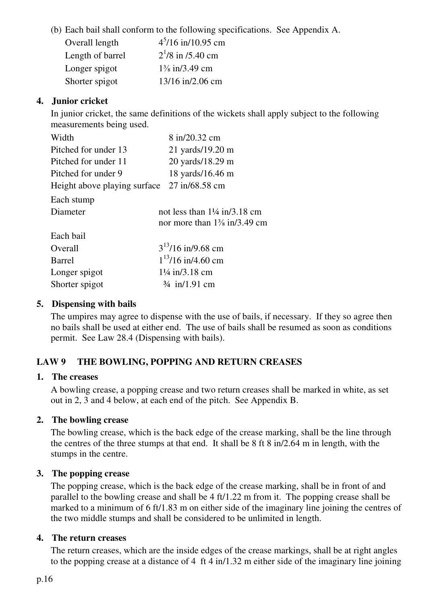(b) Each bail shall conform to the following specifications. See Appendix A.

| Overall length   | $45/16$ in/10.95 cm       |
|------------------|---------------------------|
| Length of barrel | $2^{1}/8$ in /5.40 cm     |
| Longer spigot    | $1\frac{3}{8}$ in/3.49 cm |
| Shorter spigot   | 13/16 in/2.06 cm          |

# **4. Junior cricket**

In junior cricket, the same definitions of the wickets shall apply subject to the following measurements being used.

| Width                        | 8 in/20.32 cm                           |  |  |  |
|------------------------------|-----------------------------------------|--|--|--|
| Pitched for under 13         | 21 yards/19.20 m                        |  |  |  |
| Pitched for under 11         | 20 yards/18.29 m                        |  |  |  |
| Pitched for under 9          | 18 yards/16.46 m                        |  |  |  |
| Height above playing surface | 27 in/68.58 cm                          |  |  |  |
| Each stump                   |                                         |  |  |  |
| Diameter                     | not less than $1\frac{1}{4}$ in/3.18 cm |  |  |  |
|                              | nor more than $1\frac{3}{8}$ in/3.49 cm |  |  |  |
| Each bail                    |                                         |  |  |  |
| Overall                      | $3^{13}/16$ in/9.68 cm                  |  |  |  |
| <b>Barrel</b>                | $1^{13}/16$ in/4.60 cm                  |  |  |  |
| Longer spigot                | $1\frac{1}{4}$ in/3.18 cm               |  |  |  |
| Shorter spigot               | $\frac{3}{4}$ in/1.91 cm                |  |  |  |

# **5. Dispensing with bails**

The umpires may agree to dispense with the use of bails, if necessary. If they so agree then no bails shall be used at either end. The use of bails shall be resumed as soon as conditions permit. See Law 28.4 (Dispensing with bails).

# **LAW 9 THE BOWLING, POPPING AND RETURN CREASES**

# **1. The creases**

A bowling crease, a popping crease and two return creases shall be marked in white, as set out in 2, 3 and 4 below, at each end of the pitch. See Appendix B.

# **2. The bowling crease**

The bowling crease, which is the back edge of the crease marking, shall be the line through the centres of the three stumps at that end. It shall be 8 ft 8 in/2.64 m in length, with the stumps in the centre.

# **3. The popping crease**

The popping crease, which is the back edge of the crease marking, shall be in front of and parallel to the bowling crease and shall be 4 ft/1.22 m from it. The popping crease shall be marked to a minimum of 6 ft/1.83 m on either side of the imaginary line joining the centres of the two middle stumps and shall be considered to be unlimited in length.

# **4. The return creases**

The return creases, which are the inside edges of the crease markings, shall be at right angles to the popping crease at a distance of 4 ft 4 in/1.32 m either side of the imaginary line joining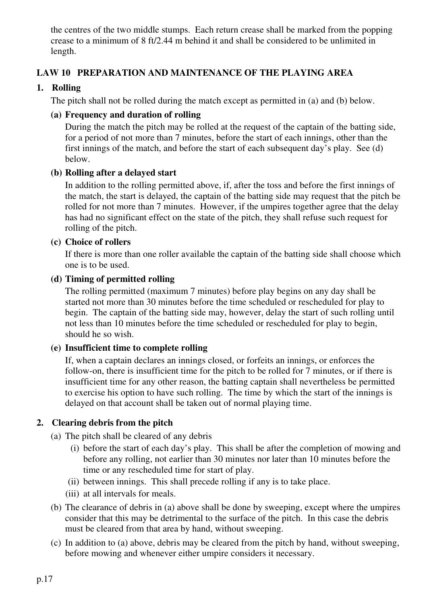the centres of the two middle stumps. Each return crease shall be marked from the popping crease to a minimum of 8 ft/2.44 m behind it and shall be considered to be unlimited in length.

# **LAW 10 PREPARATION AND MAINTENANCE OF THE PLAYING AREA**

# **1. Rolling**

The pitch shall not be rolled during the match except as permitted in (a) and (b) below.

# **(a) Frequency and duration of rolling**

During the match the pitch may be rolled at the request of the captain of the batting side, for a period of not more than 7 minutes, before the start of each innings, other than the first innings of the match, and before the start of each subsequent day's play. See (d) below.

# **(b) Rolling after a delayed start**

In addition to the rolling permitted above, if, after the toss and before the first innings of the match, the start is delayed, the captain of the batting side may request that the pitch be rolled for not more than 7 minutes. However, if the umpires together agree that the delay has had no significant effect on the state of the pitch, they shall refuse such request for rolling of the pitch.

# **(c) Choice of rollers**

If there is more than one roller available the captain of the batting side shall choose which one is to be used.

# **(d) Timing of permitted rolling**

The rolling permitted (maximum 7 minutes) before play begins on any day shall be started not more than 30 minutes before the time scheduled or rescheduled for play to begin. The captain of the batting side may, however, delay the start of such rolling until not less than 10 minutes before the time scheduled or rescheduled for play to begin, should he so wish.

# **(e) Insufficient time to complete rolling**

If, when a captain declares an innings closed, or forfeits an innings, or enforces the follow-on, there is insufficient time for the pitch to be rolled for 7 minutes, or if there is insufficient time for any other reason, the batting captain shall nevertheless be permitted to exercise his option to have such rolling. The time by which the start of the innings is delayed on that account shall be taken out of normal playing time.

# **2. Clearing debris from the pitch**

- (a) The pitch shall be cleared of any debris
	- (i) before the start of each day's play. This shall be after the completion of mowing and before any rolling, not earlier than 30 minutes nor later than 10 minutes before the time or any rescheduled time for start of play.
	- (ii) between innings. This shall precede rolling if any is to take place.
	- (iii) at all intervals for meals.
- (b) The clearance of debris in (a) above shall be done by sweeping, except where the umpires consider that this may be detrimental to the surface of the pitch. In this case the debris must be cleared from that area by hand, without sweeping.
- (c) In addition to (a) above, debris may be cleared from the pitch by hand, without sweeping, before mowing and whenever either umpire considers it necessary.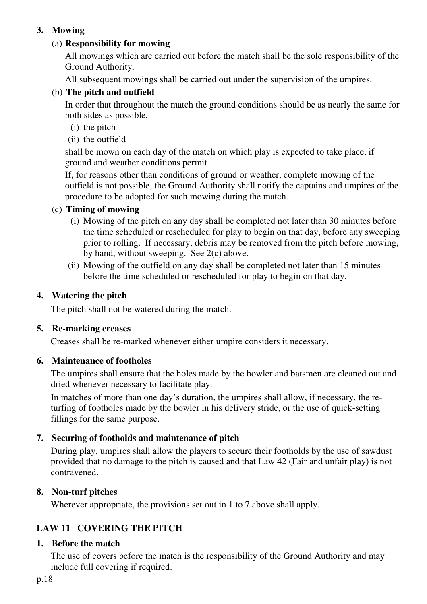# **3. Mowing**

# (a) **Responsibility for mowing**

All mowings which are carried out before the match shall be the sole responsibility of the Ground Authority.

All subsequent mowings shall be carried out under the supervision of the umpires.

# (b) **The pitch and outfield**

In order that throughout the match the ground conditions should be as nearly the same for both sides as possible,

- (i) the pitch
- (ii) the outfield

shall be mown on each day of the match on which play is expected to take place, if ground and weather conditions permit.

If, for reasons other than conditions of ground or weather, complete mowing of the outfield is not possible, the Ground Authority shall notify the captains and umpires of the procedure to be adopted for such mowing during the match.

# (c) **Timing of mowing**

- (i) Mowing of the pitch on any day shall be completed not later than 30 minutes before the time scheduled or rescheduled for play to begin on that day, before any sweeping prior to rolling. If necessary, debris may be removed from the pitch before mowing, by hand, without sweeping. See 2(c) above.
- (ii) Mowing of the outfield on any day shall be completed not later than 15 minutes before the time scheduled or rescheduled for play to begin on that day.

# **4. Watering the pitch**

The pitch shall not be watered during the match.

# **5. Re-marking creases**

Creases shall be re-marked whenever either umpire considers it necessary.

# **6. Maintenance of footholes**

The umpires shall ensure that the holes made by the bowler and batsmen are cleaned out and dried whenever necessary to facilitate play.

In matches of more than one day's duration, the umpires shall allow, if necessary, the returfing of footholes made by the bowler in his delivery stride, or the use of quick-setting fillings for the same purpose.

# **7. Securing of footholds and maintenance of pitch**

During play, umpires shall allow the players to secure their footholds by the use of sawdust provided that no damage to the pitch is caused and that Law 42 (Fair and unfair play) is not contravened.

# **8. Non-turf pitches**

Wherever appropriate, the provisions set out in 1 to 7 above shall apply.

# **LAW 11 COVERING THE PITCH**

# **1. Before the match**

The use of covers before the match is the responsibility of the Ground Authority and may include full covering if required.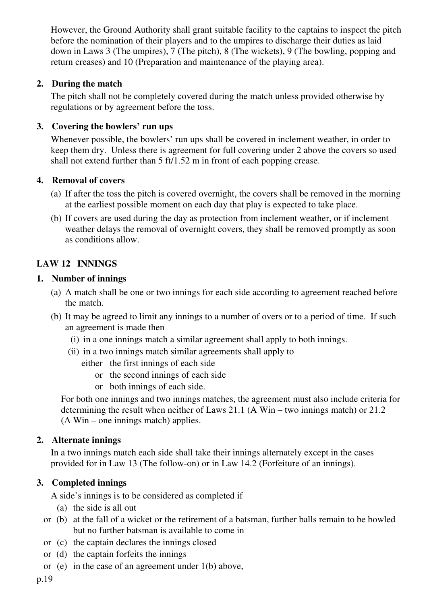However, the Ground Authority shall grant suitable facility to the captains to inspect the pitch before the nomination of their players and to the umpires to discharge their duties as laid down in Laws 3 (The umpires), 7 (The pitch), 8 (The wickets), 9 (The bowling, popping and return creases) and 10 (Preparation and maintenance of the playing area).

### **2. During the match**

The pitch shall not be completely covered during the match unless provided otherwise by regulations or by agreement before the toss.

### **3. Covering the bowlers' run ups**

Whenever possible, the bowlers' run ups shall be covered in inclement weather, in order to keep them dry. Unless there is agreement for full covering under 2 above the covers so used shall not extend further than 5 ft/1.52 m in front of each popping crease.

#### **4. Removal of covers**

- (a) If after the toss the pitch is covered overnight, the covers shall be removed in the morning at the earliest possible moment on each day that play is expected to take place.
- (b) If covers are used during the day as protection from inclement weather, or if inclement weather delays the removal of overnight covers, they shall be removed promptly as soon as conditions allow.

# **LAW 12 INNINGS**

#### **1. Number of innings**

- (a) A match shall be one or two innings for each side according to agreement reached before the match.
- (b) It may be agreed to limit any innings to a number of overs or to a period of time. If such an agreement is made then
	- (i) in a one innings match a similar agreement shall apply to both innings.
	- (ii) in a two innings match similar agreements shall apply to
		- either the first innings of each side
			- or the second innings of each side
			- or both innings of each side.

For both one innings and two innings matches, the agreement must also include criteria for determining the result when neither of Laws 21.1 (A Win – two innings match) or 21.2 (A Win – one innings match) applies.

# **2. Alternate innings**

In a two innings match each side shall take their innings alternately except in the cases provided for in Law 13 (The follow-on) or in Law 14.2 (Forfeiture of an innings).

# **3. Completed innings**

A side's innings is to be considered as completed if

- (a) the side is all out
- or (b) at the fall of a wicket or the retirement of a batsman, further balls remain to be bowled but no further batsman is available to come in
- or (c) the captain declares the innings closed
- or (d) the captain forfeits the innings
- or (e) in the case of an agreement under 1(b) above,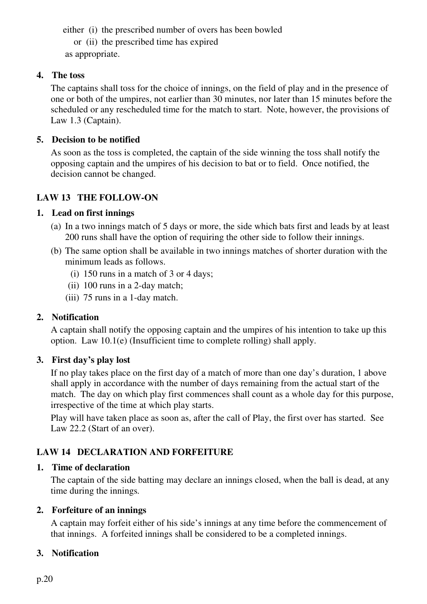either (i) the prescribed number of overs has been bowled or (ii) the prescribed time has expired

as appropriate.

# **4. The toss**

The captains shall toss for the choice of innings, on the field of play and in the presence of one or both of the umpires, not earlier than 30 minutes, nor later than 15 minutes before the scheduled or any rescheduled time for the match to start. Note, however, the provisions of Law 1.3 (Captain).

### **5. Decision to be notified**

As soon as the toss is completed, the captain of the side winning the toss shall notify the opposing captain and the umpires of his decision to bat or to field. Once notified, the decision cannot be changed.

# **LAW 13 THE FOLLOW-ON**

### **1. Lead on first innings**

- (a) In a two innings match of 5 days or more, the side which bats first and leads by at least 200 runs shall have the option of requiring the other side to follow their innings.
- (b) The same option shall be available in two innings matches of shorter duration with the minimum leads as follows.
	- (i) 150 runs in a match of 3 or 4 days;
	- (ii) 100 runs in a 2-day match;
	- (iii) 75 runs in a 1-day match.

# **2. Notification**

A captain shall notify the opposing captain and the umpires of his intention to take up this option. Law 10.1(e) (Insufficient time to complete rolling) shall apply.

#### **3. First day's play lost**

If no play takes place on the first day of a match of more than one day's duration, 1 above shall apply in accordance with the number of days remaining from the actual start of the match. The day on which play first commences shall count as a whole day for this purpose, irrespective of the time at which play starts.

Play will have taken place as soon as, after the call of Play, the first over has started. See Law 22.2 (Start of an over).

# **LAW 14 DECLARATION AND FORFEITURE**

#### **1. Time of declaration**

The captain of the side batting may declare an innings closed, when the ball is dead, at any time during the innings*.* 

# **2. Forfeiture of an innings**

A captain may forfeit either of his side's innings at any time before the commencement of that innings. A forfeited innings shall be considered to be a completed innings.

# **3. Notification**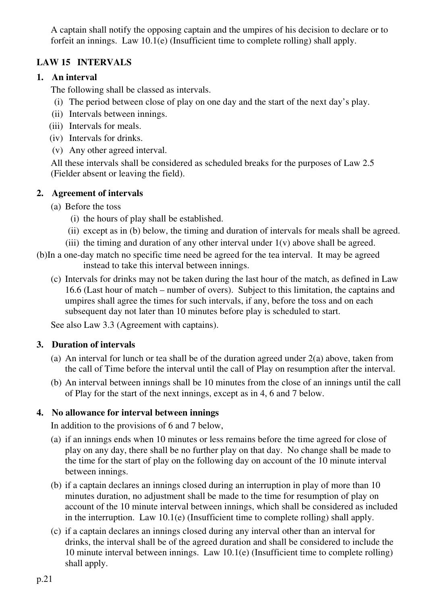A captain shall notify the opposing captain and the umpires of his decision to declare or to forfeit an innings. Law 10.1(e) (Insufficient time to complete rolling) shall apply.

# **LAW 15 INTERVALS**

# **1. An interval**

The following shall be classed as intervals.

- (i) The period between close of play on one day and the start of the next day's play.
- (ii) Intervals between innings.
- (iii) Intervals for meals.
- (iv) Intervals for drinks.
- (v) Any other agreed interval.

All these intervals shall be considered as scheduled breaks for the purposes of Law 2.5 (Fielder absent or leaving the field).

# **2. Agreement of intervals**

- (a) Before the toss
	- (i) the hours of play shall be established.
	- (ii) except as in (b) below, the timing and duration of intervals for meals shall be agreed.
	- (iii) the timing and duration of any other interval under  $1(v)$  above shall be agreed.
- (b)In a one-day match no specific time need be agreed for the tea interval. It may be agreed instead to take this interval between innings.
	- (c) Intervals for drinks may not be taken during the last hour of the match, as defined in Law 16.6 (Last hour of match – number of overs). Subject to this limitation, the captains and umpires shall agree the times for such intervals, if any, before the toss and on each subsequent day not later than 10 minutes before play is scheduled to start.

See also Law 3.3 (Agreement with captains).

# **3. Duration of intervals**

- (a) An interval for lunch or tea shall be of the duration agreed under 2(a) above, taken from the call of Time before the interval until the call of Play on resumption after the interval.
- (b) An interval between innings shall be 10 minutes from the close of an innings until the call of Play for the start of the next innings, except as in 4, 6 and 7 below.

# **4. No allowance for interval between innings**

In addition to the provisions of 6 and 7 below,

- (a) if an innings ends when 10 minutes or less remains before the time agreed for close of play on any day, there shall be no further play on that day. No change shall be made to the time for the start of play on the following day on account of the 10 minute interval between innings.
- (b) if a captain declares an innings closed during an interruption in play of more than 10 minutes duration, no adjustment shall be made to the time for resumption of play on account of the 10 minute interval between innings, which shall be considered as included in the interruption. Law 10.1(e) (Insufficient time to complete rolling) shall apply.
- (c) if a captain declares an innings closed during any interval other than an interval for drinks, the interval shall be of the agreed duration and shall be considered to include the 10 minute interval between innings. Law 10.1(e) (Insufficient time to complete rolling) shall apply.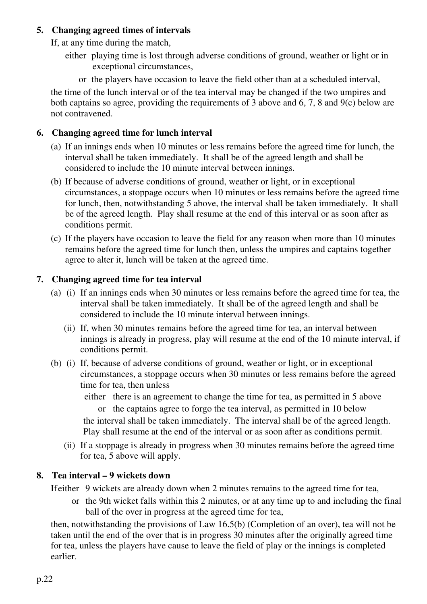### **5. Changing agreed times of intervals**

If, at any time during the match,

- either playing time is lost through adverse conditions of ground, weather or light or in exceptional circumstances,
	- or the players have occasion to leave the field other than at a scheduled interval,

the time of the lunch interval or of the tea interval may be changed if the two umpires and both captains so agree, providing the requirements of 3 above and 6, 7, 8 and 9(c) below are not contravened.

### **6. Changing agreed time for lunch interval**

- (a) If an innings ends when 10 minutes or less remains before the agreed time for lunch, the interval shall be taken immediately. It shall be of the agreed length and shall be considered to include the 10 minute interval between innings.
- (b) If because of adverse conditions of ground, weather or light, or in exceptional circumstances, a stoppage occurs when 10 minutes or less remains before the agreed time for lunch, then, notwithstanding 5 above, the interval shall be taken immediately. It shall be of the agreed length. Play shall resume at the end of this interval or as soon after as conditions permit.
- (c) If the players have occasion to leave the field for any reason when more than 10 minutes remains before the agreed time for lunch then, unless the umpires and captains together agree to alter it, lunch will be taken at the agreed time.

### **7. Changing agreed time for tea interval**

- (a) (i) If an innings ends when 30 minutes or less remains before the agreed time for tea, the interval shall be taken immediately. It shall be of the agreed length and shall be considered to include the 10 minute interval between innings.
	- (ii) If, when 30 minutes remains before the agreed time for tea, an interval between innings is already in progress, play will resume at the end of the 10 minute interval, if conditions permit.
- (b) (i) If, because of adverse conditions of ground, weather or light, or in exceptional circumstances, a stoppage occurs when 30 minutes or less remains before the agreed time for tea, then unless
	- either there is an agreement to change the time for tea, as permitted in 5 above or the captains agree to forgo the tea interval, as permitted in 10 below the interval shall be taken immediately. The interval shall be of the agreed length. Play shall resume at the end of the interval or as soon after as conditions permit.
	- (ii) If a stoppage is already in progress when 30 minutes remains before the agreed time for tea, 5 above will apply.

# **8. Tea interval – 9 wickets down**

If either 9 wickets are already down when 2 minutes remains to the agreed time for tea,

 or the 9th wicket falls within this 2 minutes, or at any time up to and including the final ball of the over in progress at the agreed time for tea,

then, notwithstanding the provisions of Law 16.5(b) (Completion of an over), tea will not be taken until the end of the over that is in progress 30 minutes after the originally agreed time for tea, unless the players have cause to leave the field of play or the innings is completed earlier.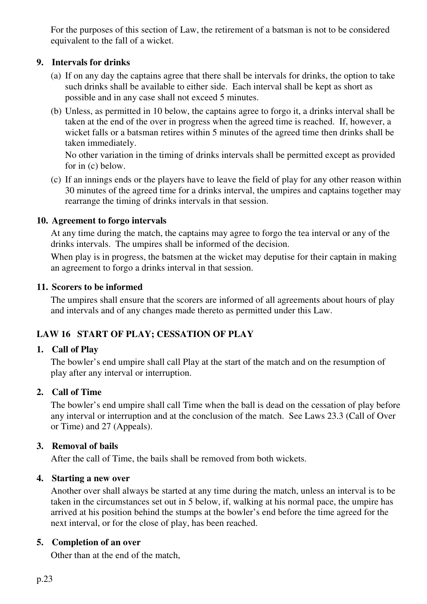For the purposes of this section of Law, the retirement of a batsman is not to be considered equivalent to the fall of a wicket.

# **9. Intervals for drinks**

- (a) If on any day the captains agree that there shall be intervals for drinks, the option to take such drinks shall be available to either side. Each interval shall be kept as short as possible and in any case shall not exceed 5 minutes.
- (b) Unless, as permitted in 10 below, the captains agree to forgo it, a drinks interval shall be taken at the end of the over in progress when the agreed time is reached. If, however, a wicket falls or a batsman retires within 5 minutes of the agreed time then drinks shall be taken immediately.

No other variation in the timing of drinks intervals shall be permitted except as provided for in (c) below.

(c) If an innings ends or the players have to leave the field of play for any other reason within 30 minutes of the agreed time for a drinks interval, the umpires and captains together may rearrange the timing of drinks intervals in that session.

#### **10. Agreement to forgo intervals**

At any time during the match, the captains may agree to forgo the tea interval or any of the drinks intervals. The umpires shall be informed of the decision.

When play is in progress, the batsmen at the wicket may deputise for their captain in making an agreement to forgo a drinks interval in that session.

#### **11. Scorers to be informed**

The umpires shall ensure that the scorers are informed of all agreements about hours of play and intervals and of any changes made thereto as permitted under this Law.

# **LAW 16 START OF PLAY; CESSATION OF PLAY**

#### **1. Call of Play**

The bowler's end umpire shall call Play at the start of the match and on the resumption of play after any interval or interruption.

#### **2. Call of Time**

The bowler's end umpire shall call Time when the ball is dead on the cessation of play before any interval or interruption and at the conclusion of the match. See Laws 23.3 (Call of Over or Time) and 27 (Appeals).

#### **3. Removal of bails**

After the call of Time, the bails shall be removed from both wickets.

#### **4. Starting a new over**

Another over shall always be started at any time during the match, unless an interval is to be taken in the circumstances set out in 5 below, if, walking at his normal pace, the umpire has arrived at his position behind the stumps at the bowler's end before the time agreed for the next interval, or for the close of play, has been reached.

#### **5. Completion of an over**

Other than at the end of the match,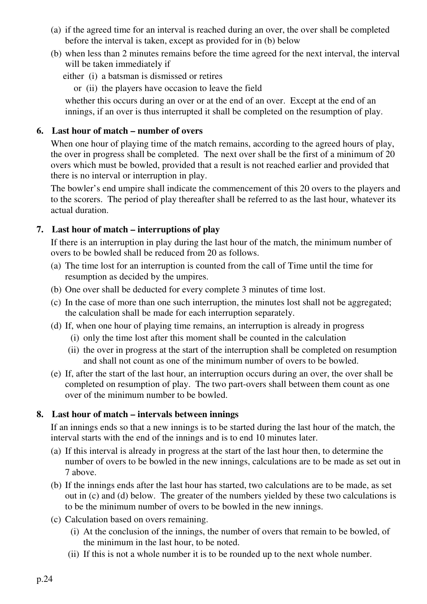- (a) if the agreed time for an interval is reached during an over, the over shall be completed before the interval is taken, except as provided for in (b) below
- (b) when less than 2 minutes remains before the time agreed for the next interval, the interval will be taken immediately if
	- either (i) a batsman is dismissed or retires
		- or (ii) the players have occasion to leave the field

whether this occurs during an over or at the end of an over. Except at the end of an innings, if an over is thus interrupted it shall be completed on the resumption of play.

# **6. Last hour of match – number of overs**

When one hour of playing time of the match remains, according to the agreed hours of play, the over in progress shall be completed. The next over shall be the first of a minimum of 20 overs which must be bowled, provided that a result is not reached earlier and provided that there is no interval or interruption in play.

The bowler's end umpire shall indicate the commencement of this 20 overs to the players and to the scorers. The period of play thereafter shall be referred to as the last hour, whatever its actual duration.

# **7. Last hour of match – interruptions of play**

If there is an interruption in play during the last hour of the match, the minimum number of overs to be bowled shall be reduced from 20 as follows.

- (a) The time lost for an interruption is counted from the call of Time until the time for resumption as decided by the umpires.
- (b) One over shall be deducted for every complete 3 minutes of time lost.
- (c) In the case of more than one such interruption, the minutes lost shall not be aggregated; the calculation shall be made for each interruption separately.
- (d) If, when one hour of playing time remains, an interruption is already in progress
	- (i) only the time lost after this moment shall be counted in the calculation
	- (ii) the over in progress at the start of the interruption shall be completed on resumption and shall not count as one of the minimum number of overs to be bowled.
- (e) If, after the start of the last hour, an interruption occurs during an over, the over shall be completed on resumption of play. The two part-overs shall between them count as one over of the minimum number to be bowled.

# **8. Last hour of match – intervals between innings**

If an innings ends so that a new innings is to be started during the last hour of the match, the interval starts with the end of the innings and is to end 10 minutes later.

- (a) If this interval is already in progress at the start of the last hour then, to determine the number of overs to be bowled in the new innings, calculations are to be made as set out in 7 above.
- (b) If the innings ends after the last hour has started, two calculations are to be made, as set out in (c) and (d) below. The greater of the numbers yielded by these two calculations is to be the minimum number of overs to be bowled in the new innings.
- (c) Calculation based on overs remaining.
	- (i) At the conclusion of the innings, the number of overs that remain to be bowled, of the minimum in the last hour, to be noted.
	- (ii) If this is not a whole number it is to be rounded up to the next whole number.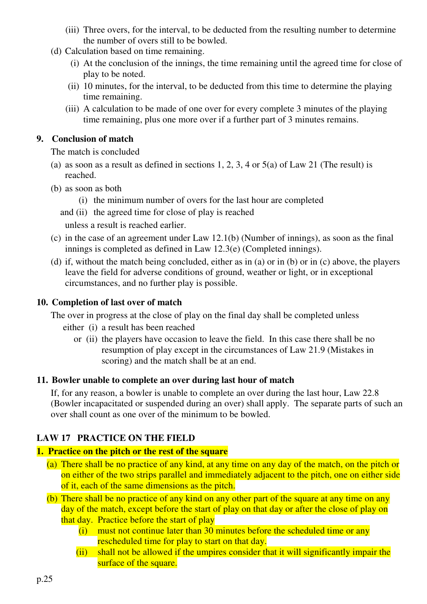- (iii) Three overs, for the interval, to be deducted from the resulting number to determine the number of overs still to be bowled.
- (d) Calculation based on time remaining.
	- (i) At the conclusion of the innings, the time remaining until the agreed time for close of play to be noted.
	- (ii) 10 minutes, for the interval, to be deducted from this time to determine the playing time remaining.
	- (iii) A calculation to be made of one over for every complete 3 minutes of the playing time remaining, plus one more over if a further part of 3 minutes remains.

# **9. Conclusion of match**

The match is concluded

- (a) as soon as a result as defined in sections 1, 2, 3, 4 or  $5(a)$  of Law 21 (The result) is reached.
- (b) as soon as both
	- (i) the minimum number of overs for the last hour are completed
	- and (ii) the agreed time for close of play is reached

unless a result is reached earlier.

- (c) in the case of an agreement under Law 12.1(b) (Number of innings), as soon as the final innings is completed as defined in Law 12.3(e) (Completed innings).
- (d) if, without the match being concluded, either as in (a) or in (b) or in (c) above, the players leave the field for adverse conditions of ground, weather or light, or in exceptional circumstances, and no further play is possible.

# **10. Completion of last over of match**

The over in progress at the close of play on the final day shall be completed unless

- either (i) a result has been reached
	- or (ii) the players have occasion to leave the field. In this case there shall be no resumption of play except in the circumstances of Law 21.9 (Mistakes in scoring) and the match shall be at an end.

# **11. Bowler unable to complete an over during last hour of match**

If, for any reason, a bowler is unable to complete an over during the last hour, Law 22.8 (Bowler incapacitated or suspended during an over) shall apply. The separate parts of such an over shall count as one over of the minimum to be bowled.

# **LAW 17 PRACTICE ON THE FIELD**

# **1. Practice on the pitch or the rest of the square**

- (a) There shall be no practice of any kind, at any time on any day of the match, on the pitch or on either of the two strips parallel and immediately adjacent to the pitch, one on either side of it, each of the same dimensions as the pitch.
- (b) There shall be no practice of any kind on any other part of the square at any time on any day of the match, except before the start of play on that day or after the close of play on that day. Practice before the start of play
	- $(i)$  must not continue later than 30 minutes before the scheduled time or any rescheduled time for play to start on that day.
	- (ii) shall not be allowed if the umpires consider that it will significantly impair the surface of the square.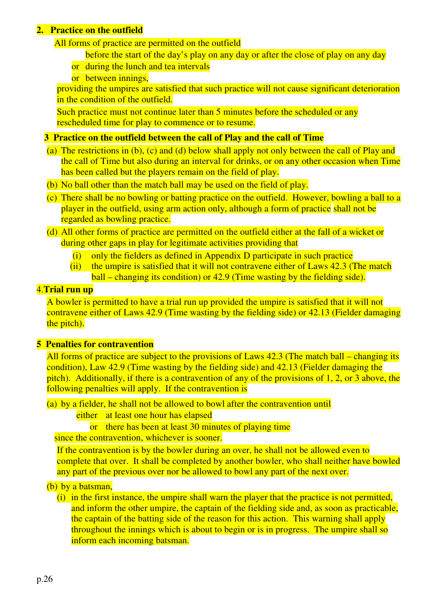#### **2. Practice on the outfield**

All forms of practice are permitted on the outfield

before the start of the day's play on any day or after the close of play on any day

- or during the lunch and tea intervals
- or between innings,

providing the umpires are satisfied that such practice will not cause significant deterioration in the condition of the outfield.

Such practice must not continue later than 5 minutes before the scheduled or any rescheduled time for play to commence or to resume.

#### **3 Practice on the outfield between the call of Play and the call of Time**

- (a) The restrictions in (b), (c) and (d) below shall apply not only between the call of Play and the call of Time but also during an interval for drinks, or on any other occasion when Time has been called but the players remain on the field of play.
- (b) No ball other than the match ball may be used on the field of play.
- (c) There shall be no bowling or batting practice on the outfield. However, bowling a ball to a player in the outfield, using arm action only, although a form of practice shall not be regarded as bowling practice.

#### (d) All other forms of practice are permitted on the outfield either at the fall of a wicket or during other gaps in play for legitimate activities providing that

- $(i)$  only the fielders as defined in Appendix D participate in such practice
- (ii) the umpire is satisfied that it will not contravene either of Laws 42.3 (The match ball – changing its condition) or 42.9 (Time wasting by the fielding side).

#### 4.**Trial run up**

A bowler is permitted to have a trial run up provided the umpire is satisfied that it will not contravene either of Laws 42.9 (Time wasting by the fielding side) or 42.13 (Fielder damaging the pitch).

#### **5 Penalties for contravention**

All forms of practice are subject to the provisions of Laws 42.3 (The match ball – changing its condition), Law 42.9 (Time wasting by the fielding side) and 42.13 (Fielder damaging the pitch). Additionally, if there is a contravention of any of the provisions of 1, 2, or 3 above, the following penalties will apply. If the contravention is

(a) by a fielder, he shall not be allowed to bowl after the contravention until

either at least one hour has elapsed

or there has been at least 30 minutes of playing time

since the contravention, whichever is sooner.

If the contravention is by the bowler during an over, he shall not be allowed even to complete that over. It shall be completed by another bowler, who shall neither have bowled any part of the previous over nor be allowed to bowl any part of the next over.

#### (b) by a batsman.

(i) in the first instance, the umpire shall warn the player that the practice is not permitted, and inform the other umpire, the captain of the fielding side and, as soon as practicable, the captain of the batting side of the reason for this action. This warning shall apply throughout the innings which is about to begin or is in progress. The umpire shall so inform each incoming batsman.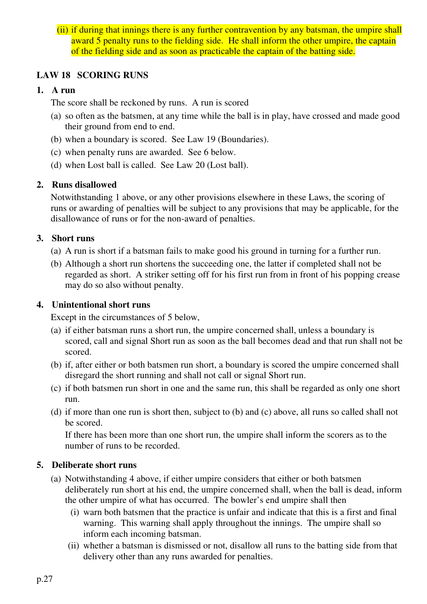(ii) if during that innings there is any further contravention by any batsman, the umpire shall award 5 penalty runs to the fielding side. He shall inform the other umpire, the captain of the fielding side and as soon as practicable the captain of the batting side.

### **LAW 18 SCORING RUNS**

#### **1. A run**

The score shall be reckoned by runs. A run is scored

- (a) so often as the batsmen, at any time while the ball is in play, have crossed and made good their ground from end to end.
- (b) when a boundary is scored. See Law 19 (Boundaries).
- (c) when penalty runs are awarded. See 6 below.
- (d) when Lost ball is called. See Law 20 (Lost ball).

# **2. Runs disallowed**

Notwithstanding 1 above, or any other provisions elsewhere in these Laws, the scoring of runs or awarding of penalties will be subject to any provisions that may be applicable, for the disallowance of runs or for the non-award of penalties.

### **3. Short runs**

- (a) A run is short if a batsman fails to make good his ground in turning for a further run.
- (b) Although a short run shortens the succeeding one, the latter if completed shall not be regarded as short. A striker setting off for his first run from in front of his popping crease may do so also without penalty.

### **4. Unintentional short runs**

Except in the circumstances of 5 below,

- (a) if either batsman runs a short run, the umpire concerned shall, unless a boundary is scored, call and signal Short run as soon as the ball becomes dead and that run shall not be scored.
- (b) if, after either or both batsmen run short, a boundary is scored the umpire concerned shall disregard the short running and shall not call or signal Short run.
- (c) if both batsmen run short in one and the same run, this shall be regarded as only one short run.
- (d) if more than one run is short then, subject to (b) and (c) above, all runs so called shall not be scored.

If there has been more than one short run, the umpire shall inform the scorers as to the number of runs to be recorded.

# **5. Deliberate short runs**

- (a) Notwithstanding 4 above, if either umpire considers that either or both batsmen deliberately run short at his end, the umpire concerned shall, when the ball is dead, inform the other umpire of what has occurred. The bowler's end umpire shall then
	- (i) warn both batsmen that the practice is unfair and indicate that this is a first and final warning. This warning shall apply throughout the innings. The umpire shall so inform each incoming batsman.
	- (ii) whether a batsman is dismissed or not, disallow all runs to the batting side from that delivery other than any runs awarded for penalties.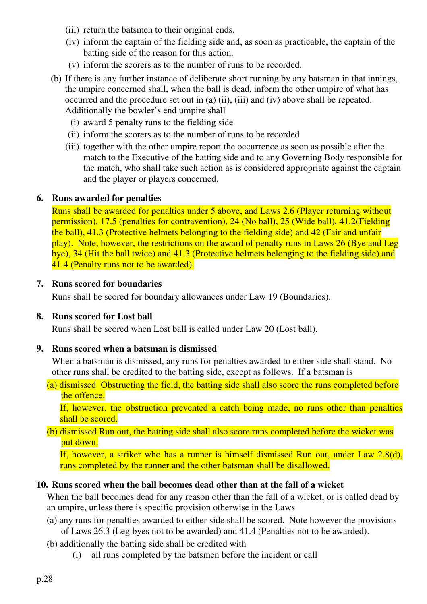- (iii) return the batsmen to their original ends.
- (iv) inform the captain of the fielding side and, as soon as practicable, the captain of the batting side of the reason for this action.
- (v) inform the scorers as to the number of runs to be recorded.
- (b) If there is any further instance of deliberate short running by any batsman in that innings, the umpire concerned shall, when the ball is dead, inform the other umpire of what has occurred and the procedure set out in (a) (ii), (iii) and (iv) above shall be repeated. Additionally the bowler's end umpire shall
	- (i) award 5 penalty runs to the fielding side
	- (ii) inform the scorers as to the number of runs to be recorded
	- (iii) together with the other umpire report the occurrence as soon as possible after the match to the Executive of the batting side and to any Governing Body responsible for the match, who shall take such action as is considered appropriate against the captain and the player or players concerned.

### **6. Runs awarded for penalties**

Runs shall be awarded for penalties under 5 above, and Laws 2.6 (Player returning without permission), 17.5 (penalties for contravention), 24 (No ball), 25 (Wide ball), 41.2(Fielding the ball), 41.3 (Protective helmets belonging to the fielding side) and 42 (Fair and unfair play). Note, however, the restrictions on the award of penalty runs in Laws 26 (Bye and Leg bye), 34 (Hit the ball twice) and 41.3 (Protective helmets belonging to the fielding side) and 41.4 (Penalty runs not to be awarded).

#### **7. Runs scored for boundaries**

Runs shall be scored for boundary allowances under Law 19 (Boundaries).

# **8. Runs scored for Lost ball**

Runs shall be scored when Lost ball is called under Law 20 (Lost ball).

# **9. Runs scored when a batsman is dismissed**

When a batsman is dismissed, any runs for penalties awarded to either side shall stand. No other runs shall be credited to the batting side, except as follows. If a batsman is

(a) dismissed Obstructing the field, the batting side shall also score the runs completed before the offence.

If, however, the obstruction prevented a catch being made, no runs other than penalties shall be scored.

(b) dismissed Run out, the batting side shall also score runs completed before the wicket was put down.

If, however, a striker who has a runner is himself dismissed Run out, under Law 2.8(d), runs completed by the runner and the other batsman shall be disallowed.

# **10. Runs scored when the ball becomes dead other than at the fall of a wicket**

When the ball becomes dead for any reason other than the fall of a wicket, or is called dead by an umpire, unless there is specific provision otherwise in the Laws

- (a) any runs for penalties awarded to either side shall be scored. Note however the provisions of Laws 26.3 (Leg byes not to be awarded) and 41.4 (Penalties not to be awarded).
- (b) additionally the batting side shall be credited with
	- (i) all runs completed by the batsmen before the incident or call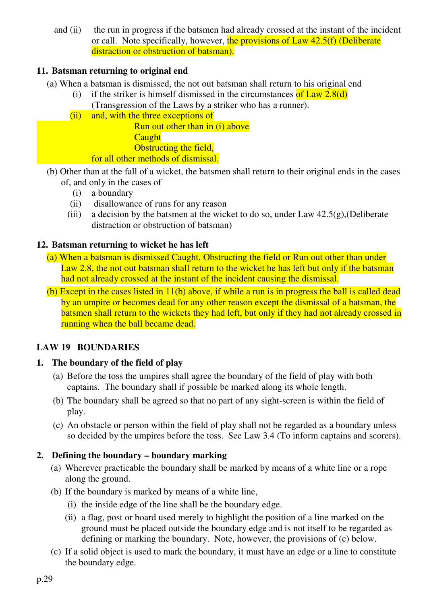and (ii) the run in progress if the batsmen had already crossed at the instant of the incident or call. Note specifically, however, the provisions of Law 42.5(f) (Deliberate distraction or obstruction of batsman).

# **11. Batsman returning to original end**

- (a) When a batsman is dismissed, the not out batsman shall return to his original end
	- (i) if the striker is himself dismissed in the circumstances of  $Law\ 2.8(d)$ (Transgression of the Laws by a striker who has a runner).
	- (ii) and, with the three exceptions of

 Run out other than in (i) above **Caught**  Obstructing the field, for all other methods of dismissal.

- (b) Other than at the fall of a wicket, the batsmen shall return to their original ends in the cases of, and only in the cases of
	- (i) a boundary
	- (ii) disallowance of runs for any reason
	- (iii) a decision by the batsmen at the wicket to do so, under Law  $42.5(g)$ , (Deliberate distraction or obstruction of batsman)

# **12. Batsman returning to wicket he has left**

- (a) When a batsman is dismissed Caught, Obstructing the field or Run out other than under Law 2.8, the not out batsman shall return to the wicket he has left but only if the batsman had not already crossed at the instant of the incident causing the dismissal.
- (b) Except in the cases listed in 11(b) above, if while a run is in progress the ball is called dead by an umpire or becomes dead for any other reason except the dismissal of a batsman, the batsmen shall return to the wickets they had left, but only if they had not already crossed in running when the ball became dead.

# **LAW 19 BOUNDARIES**

# **1. The boundary of the field of play**

- (a) Before the toss the umpires shall agree the boundary of the field of play with both captains. The boundary shall if possible be marked along its whole length.
- (b) The boundary shall be agreed so that no part of any sight-screen is within the field of play.
- (c) An obstacle or person within the field of play shall not be regarded as a boundary unless so decided by the umpires before the toss. See Law 3.4 (To inform captains and scorers).

# **2. Defining the boundary – boundary marking**

- (a) Wherever practicable the boundary shall be marked by means of a white line or a rope along the ground.
- (b) If the boundary is marked by means of a white line,
	- (i) the inside edge of the line shall be the boundary edge.
	- (ii) a flag, post or board used merely to highlight the position of a line marked on the ground must be placed outside the boundary edge and is not itself to be regarded as defining or marking the boundary. Note, however, the provisions of (c) below.
- (c) If a solid object is used to mark the boundary, it must have an edge or a line to constitute the boundary edge.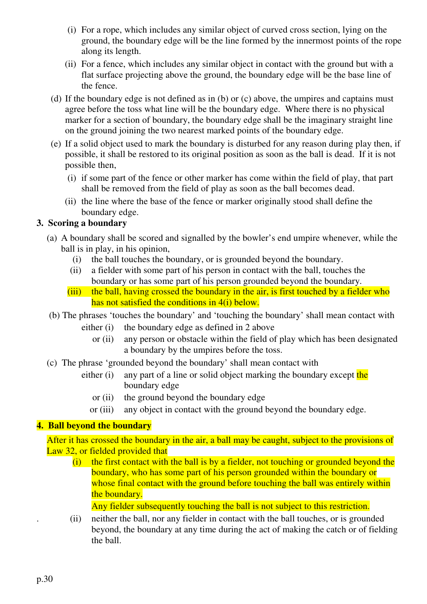- (i) For a rope, which includes any similar object of curved cross section, lying on the ground, the boundary edge will be the line formed by the innermost points of the rope along its length.
- (ii) For a fence, which includes any similar object in contact with the ground but with a flat surface projecting above the ground, the boundary edge will be the base line of the fence.
- (d) If the boundary edge is not defined as in (b) or (c) above, the umpires and captains must agree before the toss what line will be the boundary edge. Where there is no physical marker for a section of boundary, the boundary edge shall be the imaginary straight line on the ground joining the two nearest marked points of the boundary edge.
- (e) If a solid object used to mark the boundary is disturbed for any reason during play then, if possible, it shall be restored to its original position as soon as the ball is dead. If it is not possible then,
	- (i) if some part of the fence or other marker has come within the field of play, that part shall be removed from the field of play as soon as the ball becomes dead.
	- (ii) the line where the base of the fence or marker originally stood shall define the boundary edge.

# **3. Scoring a boundary**

- (a) A boundary shall be scored and signalled by the bowler's end umpire whenever, while the ball is in play, in his opinion,
	- (i) the ball touches the boundary, or is grounded beyond the boundary.
	- (ii) a fielder with some part of his person in contact with the ball, touches the boundary or has some part of his person grounded beyond the boundary.
	- (iii) the ball, having crossed the boundary in the air, is first touched by a fielder who has not satisfied the conditions in 4(i) below.
- (b) The phrases 'touches the boundary' and 'touching the boundary' shall mean contact with
	- either (i) the boundary edge as defined in 2 above
		- or (ii) any person or obstacle within the field of play which has been designated a boundary by the umpires before the toss.
- (c) The phrase 'grounded beyond the boundary' shall mean contact with
	- either (i) any part of a line or solid object marking the boundary except the boundary edge
		- or (ii) the ground beyond the boundary edge
		- or (iii) any object in contact with the ground beyond the boundary edge.

# **4. Ball beyond the boundary**

After it has crossed the boundary in the air, a ball may be caught, subject to the provisions of Law 32, or fielded provided that

 $(i)$  the first contact with the ball is by a fielder, not touching or grounded beyond the boundary, who has some part of his person grounded within the boundary or whose final contact with the ground before touching the ball was entirely within the boundary.

Any fielder subsequently touching the ball is not subject to this restriction.

. (ii) neither the ball, nor any fielder in contact with the ball touches, or is grounded beyond, the boundary at any time during the act of making the catch or of fielding the ball.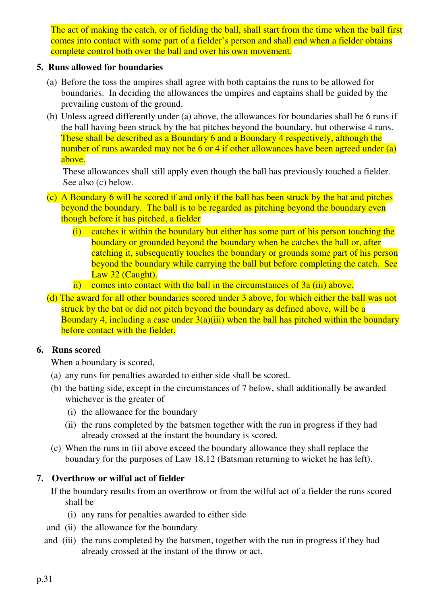The act of making the catch, or of fielding the ball, shall start from the time when the ball first comes into contact with some part of a fielder's person and shall end when a fielder obtains complete control both over the ball and over his own movement.

### **5. Runs allowed for boundaries**

- (a) Before the toss the umpires shall agree with both captains the runs to be allowed for boundaries. In deciding the allowances the umpires and captains shall be guided by the prevailing custom of the ground.
- (b) Unless agreed differently under (a) above, the allowances for boundaries shall be 6 runs if the ball having been struck by the bat pitches beyond the boundary, but otherwise 4 runs. These shall be described as a Boundary 6 and a Boundary 4 respectively, although the number of runs awarded may not be 6 or 4 if other allowances have been agreed under (a) above.

These allowances shall still apply even though the ball has previously touched a fielder. See also (c) below.

- $(c)$  A Boundary 6 will be scored if and only if the ball has been struck by the bat and pitches beyond the boundary. The ball is to be regarded as pitching beyond the boundary even though before it has pitched, a fielder
	- (i) catches it within the boundary but either has some part of his person touching the boundary or grounded beyond the boundary when he catches the ball or, after catching it, subsequently touches the boundary or grounds some part of his person beyond the boundary while carrying the ball but before completing the catch. See Law 32 (Caught).
	- ii) comes into contact with the ball in the circumstances of 3a (iii) above.
- (d) The award for all other boundaries scored under 3 above, for which either the ball was not struck by the bat or did not pitch beyond the boundary as defined above, will be a Boundary 4, including a case under  $3(a)(iii)$  when the ball has pitched within the boundary before contact with the fielder.

# **6. Runs scored**

When a boundary is scored,

- (a) any runs for penalties awarded to either side shall be scored.
- (b) the batting side, except in the circumstances of 7 below, shall additionally be awarded whichever is the greater of
	- (i) the allowance for the boundary
	- (ii) the runs completed by the batsmen together with the run in progress if they had already crossed at the instant the boundary is scored.
- (c) When the runs in (ii) above exceed the boundary allowance they shall replace the boundary for the purposes of Law 18.12 (Batsman returning to wicket he has left).

# **7. Overthrow or wilful act of fielder**

If the boundary results from an overthrow or from the wilful act of a fielder the runs scored shall be

- (i) any runs for penalties awarded to either side
- and (ii) the allowance for the boundary
- and (iii) the runs completed by the batsmen, together with the run in progress if they had already crossed at the instant of the throw or act.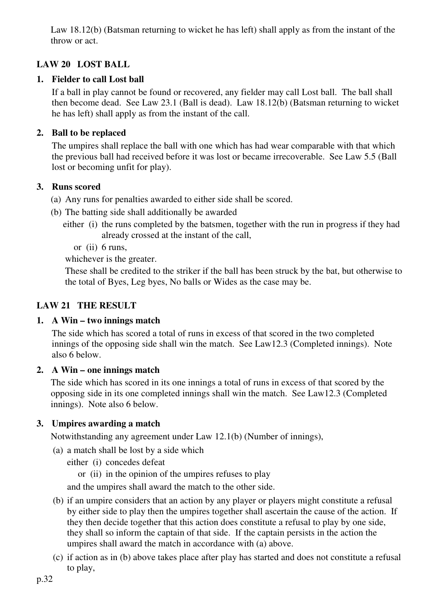Law 18.12(b) (Batsman returning to wicket he has left) shall apply as from the instant of the throw or act.

# **LAW 20 LOST BALL**

# **1. Fielder to call Lost ball**

If a ball in play cannot be found or recovered, any fielder may call Lost ball. The ball shall then become dead. See Law 23.1 (Ball is dead). Law 18.12(b) (Batsman returning to wicket he has left) shall apply as from the instant of the call.

### **2. Ball to be replaced**

The umpires shall replace the ball with one which has had wear comparable with that which the previous ball had received before it was lost or became irrecoverable. See Law 5.5 (Ball lost or becoming unfit for play).

### **3. Runs scored**

- (a) Any runs for penalties awarded to either side shall be scored.
- (b) The batting side shall additionally be awarded
	- either (i) the runs completed by the batsmen, together with the run in progress if they had already crossed at the instant of the call,
		- or (ii) 6 runs,

whichever is the greater.

These shall be credited to the striker if the ball has been struck by the bat, but otherwise to the total of Byes, Leg byes, No balls or Wides as the case may be.

# **LAW 21 THE RESULT**

# **1. A Win – two innings match**

The side which has scored a total of runs in excess of that scored in the two completed innings of the opposing side shall win the match. See Law12.3 (Completed innings). Note also 6 below.

# **2. A Win – one innings match**

The side which has scored in its one innings a total of runs in excess of that scored by the opposing side in its one completed innings shall win the match. See Law12.3 (Completed innings). Note also 6 below.

# **3. Umpires awarding a match**

Notwithstanding any agreement under Law 12.1(b) (Number of innings),

- (a) a match shall be lost by a side which
	- either (i) concedes defeat

or (ii) in the opinion of the umpires refuses to play

and the umpires shall award the match to the other side.

- (b) if an umpire considers that an action by any player or players might constitute a refusal by either side to play then the umpires together shall ascertain the cause of the action. If they then decide together that this action does constitute a refusal to play by one side, they shall so inform the captain of that side. If the captain persists in the action the umpires shall award the match in accordance with (a) above.
- (c) if action as in (b) above takes place after play has started and does not constitute a refusal to play,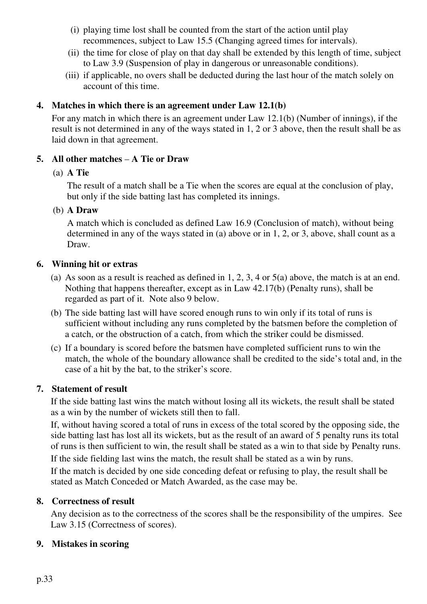- (i) playing time lost shall be counted from the start of the action until play recommences, subject to Law 15.5 (Changing agreed times for intervals).
- (ii) the time for close of play on that day shall be extended by this length of time, subject to Law 3.9 (Suspension of play in dangerous or unreasonable conditions).
- (iii) if applicable, no overs shall be deducted during the last hour of the match solely on account of this time.

# **4. Matches in which there is an agreement under Law 12.1(b)**

For any match in which there is an agreement under Law 12.1(b) (Number of innings), if the result is not determined in any of the ways stated in 1, 2 or 3 above, then the result shall be as laid down in that agreement.

# **5. All other matches** – **A Tie or Draw**

# (a) **A Tie**

The result of a match shall be a Tie when the scores are equal at the conclusion of play, but only if the side batting last has completed its innings.

# (b) **A Draw**

A match which is concluded as defined Law 16.9 (Conclusion of match), without being determined in any of the ways stated in (a) above or in 1, 2, or 3, above, shall count as a Draw.

# **6. Winning hit or extras**

- (a) As soon as a result is reached as defined in 1, 2, 3, 4 or 5(a) above, the match is at an end. Nothing that happens thereafter, except as in Law 42.17(b) (Penalty runs), shall be regarded as part of it. Note also 9 below.
- (b) The side batting last will have scored enough runs to win only if its total of runs is sufficient without including any runs completed by the batsmen before the completion of a catch, or the obstruction of a catch, from which the striker could be dismissed.
- (c) If a boundary is scored before the batsmen have completed sufficient runs to win the match, the whole of the boundary allowance shall be credited to the side's total and, in the case of a hit by the bat, to the striker's score.

# **7. Statement of result**

If the side batting last wins the match without losing all its wickets, the result shall be stated as a win by the number of wickets still then to fall.

If, without having scored a total of runs in excess of the total scored by the opposing side, the side batting last has lost all its wickets, but as the result of an award of 5 penalty runs its total of runs is then sufficient to win, the result shall be stated as a win to that side by Penalty runs. If the side fielding last wins the match, the result shall be stated as a win by runs.

If the match is decided by one side conceding defeat or refusing to play, the result shall be stated as Match Conceded or Match Awarded, as the case may be.

# **8. Correctness of result**

Any decision as to the correctness of the scores shall be the responsibility of the umpires. See Law 3.15 (Correctness of scores).

# **9. Mistakes in scoring**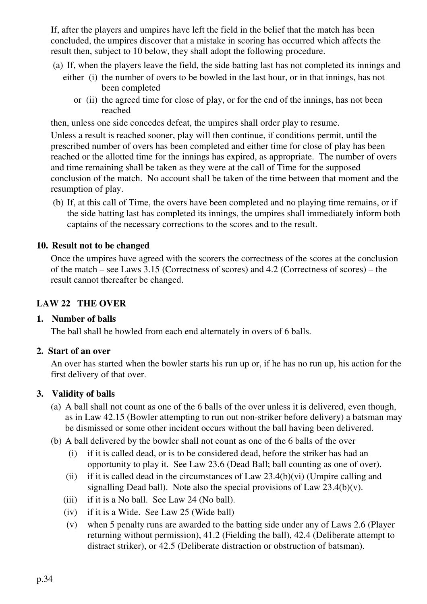If, after the players and umpires have left the field in the belief that the match has been concluded, the umpires discover that a mistake in scoring has occurred which affects the result then, subject to 10 below, they shall adopt the following procedure.

- (a) If, when the players leave the field, the side batting last has not completed its innings and
	- either (i) the number of overs to be bowled in the last hour, or in that innings, has not been completed
		- or (ii) the agreed time for close of play, or for the end of the innings, has not been reached

then, unless one side concedes defeat, the umpires shall order play to resume.

Unless a result is reached sooner, play will then continue, if conditions permit, until the prescribed number of overs has been completed and either time for close of play has been reached or the allotted time for the innings has expired, as appropriate. The number of overs and time remaining shall be taken as they were at the call of Time for the supposed conclusion of the match. No account shall be taken of the time between that moment and the resumption of play.

(b) If, at this call of Time, the overs have been completed and no playing time remains, or if the side batting last has completed its innings, the umpires shall immediately inform both captains of the necessary corrections to the scores and to the result.

# **10. Result not to be changed**

Once the umpires have agreed with the scorers the correctness of the scores at the conclusion of the match – see Laws 3.15 (Correctness of scores) and 4.2 (Correctness of scores) – the result cannot thereafter be changed.

# **LAW 22 THE OVER**

#### **1. Number of balls**

The ball shall be bowled from each end alternately in overs of 6 balls.

#### **2. Start of an over**

An over has started when the bowler starts his run up or, if he has no run up, his action for the first delivery of that over.

# **3. Validity of balls**

- (a) A ball shall not count as one of the 6 balls of the over unless it is delivered, even though, as in Law 42.15 (Bowler attempting to run out non-striker before delivery) a batsman may be dismissed or some other incident occurs without the ball having been delivered.
- (b) A ball delivered by the bowler shall not count as one of the 6 balls of the over
	- (i) if it is called dead, or is to be considered dead, before the striker has had an opportunity to play it. See Law 23.6 (Dead Ball; ball counting as one of over).
	- (ii) if it is called dead in the circumstances of Law  $23.4(b)(vi)$  (Umpire calling and signalling Dead ball). Note also the special provisions of Law  $23.4(b)(v)$ .
	- (iii) if it is a No ball. See Law 24 (No ball).
	- (iv) if it is a Wide. See Law 25 (Wide ball)
	- (v) when 5 penalty runs are awarded to the batting side under any of Laws 2.6 (Player returning without permission), 41.2 (Fielding the ball), 42.4 (Deliberate attempt to distract striker), or 42.5 (Deliberate distraction or obstruction of batsman).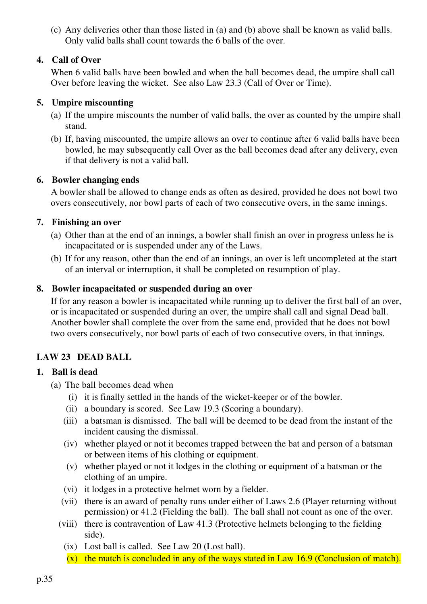(c) Any deliveries other than those listed in (a) and (b) above shall be known as valid balls. Only valid balls shall count towards the 6 balls of the over.

# **4. Call of Over**

When 6 valid balls have been bowled and when the ball becomes dead, the umpire shall call Over before leaving the wicket. See also Law 23.3 (Call of Over or Time).

# **5. Umpire miscounting**

- (a) If the umpire miscounts the number of valid balls, the over as counted by the umpire shall stand.
- (b) If, having miscounted, the umpire allows an over to continue after 6 valid balls have been bowled, he may subsequently call Over as the ball becomes dead after any delivery, even if that delivery is not a valid ball.

# **6. Bowler changing ends**

A bowler shall be allowed to change ends as often as desired, provided he does not bowl two overs consecutively, nor bowl parts of each of two consecutive overs, in the same innings.

# **7. Finishing an over**

- (a) Other than at the end of an innings, a bowler shall finish an over in progress unless he is incapacitated or is suspended under any of the Laws.
- (b) If for any reason, other than the end of an innings, an over is left uncompleted at the start of an interval or interruption, it shall be completed on resumption of play.

# **8. Bowler incapacitated or suspended during an over**

If for any reason a bowler is incapacitated while running up to deliver the first ball of an over, or is incapacitated or suspended during an over, the umpire shall call and signal Dead ball. Another bowler shall complete the over from the same end, provided that he does not bowl two overs consecutively, nor bowl parts of each of two consecutive overs, in that innings.

# **LAW 23 DEAD BALL**

# **1. Ball is dead**

- (a) The ball becomes dead when
	- (i) it is finally settled in the hands of the wicket-keeper or of the bowler.
	- (ii) a boundary is scored. See Law 19.3 (Scoring a boundary).
	- (iii) a batsman is dismissed. The ball will be deemed to be dead from the instant of the incident causing the dismissal.
	- (iv) whether played or not it becomes trapped between the bat and person of a batsman or between items of his clothing or equipment.
	- (v) whether played or not it lodges in the clothing or equipment of a batsman or the clothing of an umpire.
	- (vi) it lodges in a protective helmet worn by a fielder.
	- (vii) there is an award of penalty runs under either of Laws 2.6 (Player returning without permission) or 41.2 (Fielding the ball). The ball shall not count as one of the over.
	- (viii) there is contravention of Law 41.3 (Protective helmets belonging to the fielding side).
		- (ix) Lost ball is called. See Law 20 (Lost ball).
		- $(x)$  the match is concluded in any of the ways stated in Law 16.9 (Conclusion of match).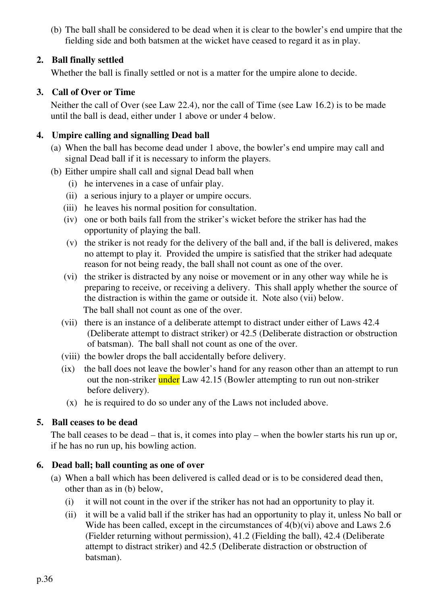(b) The ball shall be considered to be dead when it is clear to the bowler's end umpire that the fielding side and both batsmen at the wicket have ceased to regard it as in play.

# **2. Ball finally settled**

Whether the ball is finally settled or not is a matter for the umpire alone to decide.

# **3. Call of Over or Time**

Neither the call of Over (see Law 22.4), nor the call of Time (see Law 16.2) is to be made until the ball is dead, either under 1 above or under 4 below.

# **4. Umpire calling and signalling Dead ball**

- (a) When the ball has become dead under 1 above, the bowler's end umpire may call and signal Dead ball if it is necessary to inform the players.
- (b) Either umpire shall call and signal Dead ball when
	- (i) he intervenes in a case of unfair play.
	- (ii) a serious injury to a player or umpire occurs.
	- (iii) he leaves his normal position for consultation.
	- (iv) one or both bails fall from the striker's wicket before the striker has had the opportunity of playing the ball.
	- (v) the striker is not ready for the delivery of the ball and, if the ball is delivered, makes no attempt to play it. Provided the umpire is satisfied that the striker had adequate reason for not being ready, the ball shall not count as one of the over.
	- (vi) the striker is distracted by any noise or movement or in any other way while he is preparing to receive, or receiving a delivery. This shall apply whether the source of the distraction is within the game or outside it. Note also (vii) below. The ball shall not count as one of the over.
	- (vii) there is an instance of a deliberate attempt to distract under either of Laws 42.4 (Deliberate attempt to distract striker) or 42.5 (Deliberate distraction or obstruction of batsman). The ball shall not count as one of the over.
	- (viii) the bowler drops the ball accidentally before delivery.
	- (ix) the ball does not leave the bowler's hand for any reason other than an attempt to run out the non-striker under Law 42.15 (Bowler attempting to run out non-striker before delivery).
	- (x) he is required to do so under any of the Laws not included above.

# **5. Ball ceases to be dead**

The ball ceases to be dead – that is, it comes into play – when the bowler starts his run up or, if he has no run up, his bowling action.

# **6. Dead ball; ball counting as one of over**

- (a) When a ball which has been delivered is called dead or is to be considered dead then, other than as in (b) below,
	- (i) it will not count in the over if the striker has not had an opportunity to play it.
	- (ii) it will be a valid ball if the striker has had an opportunity to play it, unless No ball or Wide has been called, except in the circumstances of  $4(b)(vi)$  above and Laws 2.6 (Fielder returning without permission), 41.2 (Fielding the ball), 42.4 (Deliberate attempt to distract striker) and 42.5 (Deliberate distraction or obstruction of batsman).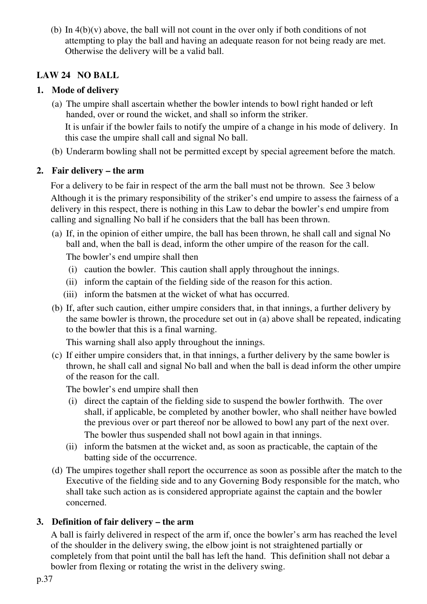(b) In 4(b)(v) above, the ball will not count in the over only if both conditions of not attempting to play the ball and having an adequate reason for not being ready are met. Otherwise the delivery will be a valid ball.

# **LAW 24 NO BALL**

# **1. Mode of delivery**

(a) The umpire shall ascertain whether the bowler intends to bowl right handed or left handed, over or round the wicket, and shall so inform the striker.

It is unfair if the bowler fails to notify the umpire of a change in his mode of delivery. In this case the umpire shall call and signal No ball.

(b) Underarm bowling shall not be permitted except by special agreement before the match.

# **2. Fair delivery – the arm**

For a delivery to be fair in respect of the arm the ball must not be thrown. See 3 below Although it is the primary responsibility of the striker's end umpire to assess the fairness of a delivery in this respect, there is nothing in this Law to debar the bowler's end umpire from calling and signalling No ball if he considers that the ball has been thrown.

(a) If, in the opinion of either umpire, the ball has been thrown, he shall call and signal No ball and, when the ball is dead, inform the other umpire of the reason for the call.

The bowler's end umpire shall then

- (i) caution the bowler. This caution shall apply throughout the innings.
- (ii) inform the captain of the fielding side of the reason for this action.
- (iii) inform the batsmen at the wicket of what has occurred.
- (b) If, after such caution, either umpire considers that, in that innings, a further delivery by the same bowler is thrown, the procedure set out in (a) above shall be repeated, indicating to the bowler that this is a final warning.

This warning shall also apply throughout the innings.

- (c) If either umpire considers that, in that innings, a further delivery by the same bowler is thrown, he shall call and signal No ball and when the ball is dead inform the other umpire of the reason for the call.
	- The bowler's end umpire shall then
	- (i) direct the captain of the fielding side to suspend the bowler forthwith. The over shall, if applicable, be completed by another bowler, who shall neither have bowled the previous over or part thereof nor be allowed to bowl any part of the next over. The bowler thus suspended shall not bowl again in that innings.
	- (ii) inform the batsmen at the wicket and, as soon as practicable, the captain of the batting side of the occurrence.
- (d) The umpires together shall report the occurrence as soon as possible after the match to the Executive of the fielding side and to any Governing Body responsible for the match, who shall take such action as is considered appropriate against the captain and the bowler concerned.

# **3. Definition of fair delivery – the arm**

A ball is fairly delivered in respect of the arm if, once the bowler's arm has reached the level of the shoulder in the delivery swing, the elbow joint is not straightened partially or completely from that point until the ball has left the hand. This definition shall not debar a bowler from flexing or rotating the wrist in the delivery swing.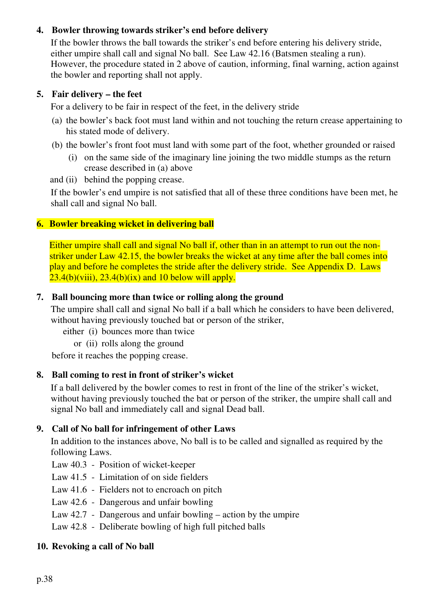# **4. Bowler throwing towards striker's end before delivery**

If the bowler throws the ball towards the striker's end before entering his delivery stride, either umpire shall call and signal No ball. See Law 42.16 (Batsmen stealing a run). However, the procedure stated in 2 above of caution, informing, final warning, action against the bowler and reporting shall not apply.

# **5. Fair delivery – the feet**

For a delivery to be fair in respect of the feet, in the delivery stride

- (a) the bowler's back foot must land within and not touching the return crease appertaining to his stated mode of delivery.
- (b) the bowler's front foot must land with some part of the foot, whether grounded or raised
	- (i) on the same side of the imaginary line joining the two middle stumps as the return crease described in (a) above
- and (ii) behind the popping crease.

If the bowler's end umpire is not satisfied that all of these three conditions have been met, he shall call and signal No ball.

# **6. Bowler breaking wicket in delivering ball**

Either umpire shall call and signal No ball if, other than in an attempt to run out the nonstriker under Law 42.15, the bowler breaks the wicket at any time after the ball comes into play and before he completes the stride after the delivery stride. See Appendix D. Laws  $23.4(b)$ (viii),  $23.4(b)$ (ix) and 10 below will apply.

# **7. Ball bouncing more than twice or rolling along the ground**

The umpire shall call and signal No ball if a ball which he considers to have been delivered, without having previously touched bat or person of the striker,

either (i) bounces more than twice

or (ii) rolls along the ground

before it reaches the popping crease.

# **8. Ball coming to rest in front of striker's wicket**

If a ball delivered by the bowler comes to rest in front of the line of the striker's wicket, without having previously touched the bat or person of the striker, the umpire shall call and signal No ball and immediately call and signal Dead ball.

# **9. Call of No ball for infringement of other Laws**

In addition to the instances above, No ball is to be called and signalled as required by the following Laws.

- Law 40.3 Position of wicket-keeper
- Law 41.5 Limitation of on side fielders
- Law 41.6 Fielders not to encroach on pitch
- Law 42.6 Dangerous and unfair bowling
- Law 42.7 Dangerous and unfair bowling action by the umpire
- Law 42.8 Deliberate bowling of high full pitched balls

# **10. Revoking a call of No ball**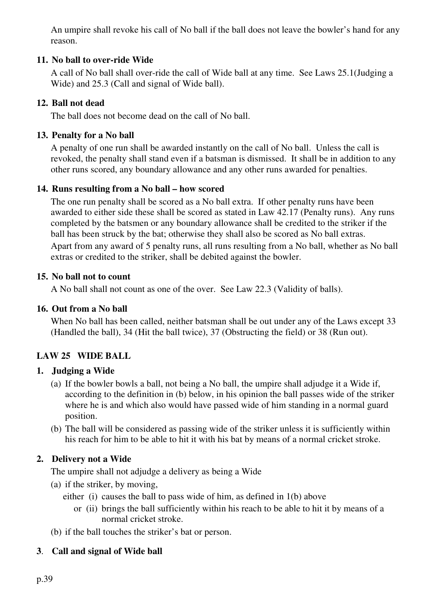An umpire shall revoke his call of No ball if the ball does not leave the bowler's hand for any reason.

# **11. No ball to over-ride Wide**

A call of No ball shall over-ride the call of Wide ball at any time. See Laws 25.1(Judging a Wide) and 25.3 (Call and signal of Wide ball).

# **12. Ball not dead**

The ball does not become dead on the call of No ball.

# **13. Penalty for a No ball**

A penalty of one run shall be awarded instantly on the call of No ball. Unless the call is revoked, the penalty shall stand even if a batsman is dismissed. It shall be in addition to any other runs scored, any boundary allowance and any other runs awarded for penalties.

# **14. Runs resulting from a No ball – how scored**

The one run penalty shall be scored as a No ball extra. If other penalty runs have been awarded to either side these shall be scored as stated in Law 42.17 (Penalty runs). Any runs completed by the batsmen or any boundary allowance shall be credited to the striker if the ball has been struck by the bat; otherwise they shall also be scored as No ball extras. Apart from any award of 5 penalty runs, all runs resulting from a No ball, whether as No ball extras or credited to the striker, shall be debited against the bowler.

# **15. No ball not to count**

A No ball shall not count as one of the over. See Law 22.3 (Validity of balls).

# **16. Out from a No ball**

When No ball has been called, neither batsman shall be out under any of the Laws except 33 (Handled the ball), 34 (Hit the ball twice), 37 (Obstructing the field) or 38 (Run out).

# **LAW 25 WIDE BALL**

# **1. Judging a Wide**

- (a) If the bowler bowls a ball, not being a No ball, the umpire shall adjudge it a Wide if, according to the definition in (b) below, in his opinion the ball passes wide of the striker where he is and which also would have passed wide of him standing in a normal guard position.
- (b) The ball will be considered as passing wide of the striker unless it is sufficiently within his reach for him to be able to hit it with his bat by means of a normal cricket stroke.

# **2. Delivery not a Wide**

The umpire shall not adjudge a delivery as being a Wide

- (a) if the striker, by moving,
	- either (i) causes the ball to pass wide of him, as defined in 1(b) above
		- or (ii) brings the ball sufficiently within his reach to be able to hit it by means of a normal cricket stroke.
- (b) if the ball touches the striker's bat or person.

# **3**. **Call and signal of Wide ball**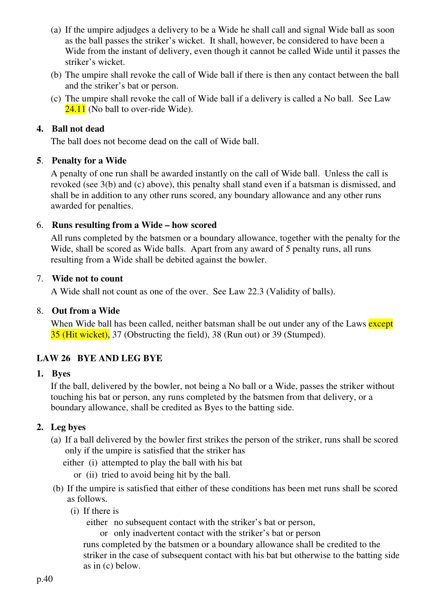- (a) If the umpire adjudges a delivery to be a Wide he shall call and signal Wide ball as soon as the ball passes the striker's wicket. It shall, however, be considered to have been a Wide from the instant of delivery, even though it cannot be called Wide until it passes the striker's wicket.
- (b) The umpire shall revoke the call of Wide ball if there is then any contact between the ball and the striker's bat or person.
- (c) The umpire shall revoke the call of Wide ball if a delivery is called a No ball. See Law  $24.11$  (No ball to over-ride Wide).

### **4. Ball not dead**

The ball does not become dead on the call of Wide ball.

### **5**. **Penalty for a Wide**

A penalty of one run shall be awarded instantly on the call of Wide ball. Unless the call is revoked (see 3(b) and (c) above), this penalty shall stand even if a batsman is dismissed, and shall be in addition to any other runs scored, any boundary allowance and any other runs awarded for penalties.

### 6. **Runs resulting from a Wide – how scored**

All runs completed by the batsmen or a boundary allowance, together with the penalty for the Wide, shall be scored as Wide balls. Apart from any award of 5 penalty runs, all runs resulting from a Wide shall be debited against the bowler.

#### 7. **Wide not to count**

A Wide shall not count as one of the over. See Law 22.3 (Validity of balls).

# 8. **Out from a Wide**

When Wide ball has been called, neither batsman shall be out under any of the Laws except 35 (Hit wicket), 37 (Obstructing the field), 38 (Run out) or 39 (Stumped).

# **LAW 26 BYE AND LEG BYE**

#### **1. Byes**

If the ball, delivered by the bowler, not being a No ball or a Wide, passes the striker without touching his bat or person, any runs completed by the batsmen from that delivery, or a boundary allowance, shall be credited as Byes to the batting side.

# **2. Leg byes**

(a) If a ball delivered by the bowler first strikes the person of the striker, runs shall be scored only if the umpire is satisfied that the striker has

either (i) attempted to play the ball with his bat

or (ii) tried to avoid being hit by the ball.

- (b) If the umpire is satisfied that either of these conditions has been met runs shall be scored as follows.
	- (i) If there is

either no subsequent contact with the striker's bat or person,

or only inadvertent contact with the striker's bat or person

runs completed by the batsmen or a boundary allowance shall be credited to the striker in the case of subsequent contact with his bat but otherwise to the batting side as in (c) below.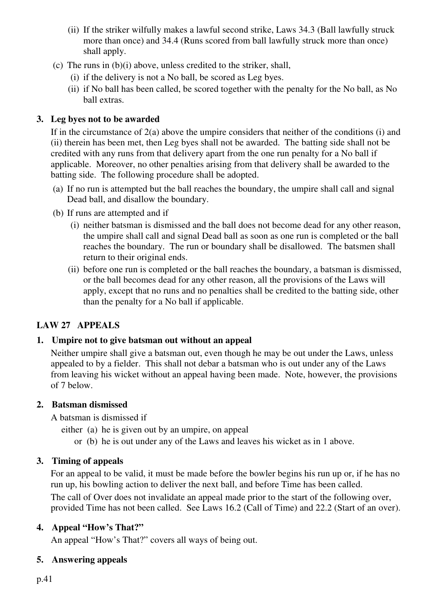- (ii) If the striker wilfully makes a lawful second strike, Laws 34.3 (Ball lawfully struck more than once) and 34.4 (Runs scored from ball lawfully struck more than once) shall apply.
- (c) The runs in (b)(i) above, unless credited to the striker, shall,
	- (i) if the delivery is not a No ball, be scored as Leg byes.
	- (ii) if No ball has been called, be scored together with the penalty for the No ball, as No ball extras.

# **3. Leg byes not to be awarded**

If in the circumstance of 2(a) above the umpire considers that neither of the conditions (i) and (ii) therein has been met, then Leg byes shall not be awarded. The batting side shall not be credited with any runs from that delivery apart from the one run penalty for a No ball if applicable. Moreover, no other penalties arising from that delivery shall be awarded to the batting side. The following procedure shall be adopted.

- (a) If no run is attempted but the ball reaches the boundary, the umpire shall call and signal Dead ball, and disallow the boundary.
- (b) If runs are attempted and if
	- (i) neither batsman is dismissed and the ball does not become dead for any other reason, the umpire shall call and signal Dead ball as soon as one run is completed or the ball reaches the boundary. The run or boundary shall be disallowed. The batsmen shall return to their original ends.
	- (ii) before one run is completed or the ball reaches the boundary, a batsman is dismissed, or the ball becomes dead for any other reason, all the provisions of the Laws will apply, except that no runs and no penalties shall be credited to the batting side, other than the penalty for a No ball if applicable.

# **LAW 27 APPEALS**

# **1. Umpire not to give batsman out without an appeal**

Neither umpire shall give a batsman out, even though he may be out under the Laws, unless appealed to by a fielder. This shall not debar a batsman who is out under any of the Laws from leaving his wicket without an appeal having been made. Note, however, the provisions of 7 below.

# **2. Batsman dismissed**

A batsman is dismissed if

either (a) he is given out by an umpire, on appeal

or (b) he is out under any of the Laws and leaves his wicket as in 1 above.

# **3. Timing of appeals**

For an appeal to be valid, it must be made before the bowler begins his run up or, if he has no run up, his bowling action to deliver the next ball, and before Time has been called.

The call of Over does not invalidate an appeal made prior to the start of the following over, provided Time has not been called. See Laws 16.2 (Call of Time) and 22.2 (Start of an over).

# **4. Appeal "How's That?"**

An appeal "How's That?" covers all ways of being out.

# **5. Answering appeals**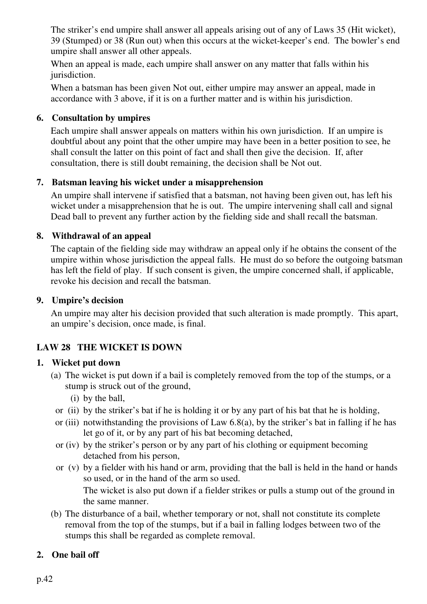The striker's end umpire shall answer all appeals arising out of any of Laws 35 (Hit wicket), 39 (Stumped) or 38 (Run out) when this occurs at the wicket-keeper's end. The bowler's end umpire shall answer all other appeals.

When an appeal is made, each umpire shall answer on any matter that falls within his jurisdiction.

When a batsman has been given Not out, either umpire may answer an appeal, made in accordance with 3 above, if it is on a further matter and is within his jurisdiction.

# **6. Consultation by umpires**

Each umpire shall answer appeals on matters within his own jurisdiction. If an umpire is doubtful about any point that the other umpire may have been in a better position to see, he shall consult the latter on this point of fact and shall then give the decision. If, after consultation, there is still doubt remaining, the decision shall be Not out.

# **7. Batsman leaving his wicket under a misapprehension**

An umpire shall intervene if satisfied that a batsman, not having been given out, has left his wicket under a misapprehension that he is out. The umpire intervening shall call and signal Dead ball to prevent any further action by the fielding side and shall recall the batsman.

# **8. Withdrawal of an appeal**

The captain of the fielding side may withdraw an appeal only if he obtains the consent of the umpire within whose jurisdiction the appeal falls. He must do so before the outgoing batsman has left the field of play. If such consent is given, the umpire concerned shall, if applicable, revoke his decision and recall the batsman.

# **9. Umpire's decision**

An umpire may alter his decision provided that such alteration is made promptly. This apart, an umpire's decision, once made, is final.

# **LAW 28 THE WICKET IS DOWN**

# **1. Wicket put down**

- (a) The wicket is put down if a bail is completely removed from the top of the stumps, or a stump is struck out of the ground,
	- (i) by the ball,
	- or (ii) by the striker's bat if he is holding it or by any part of his bat that he is holding,
	- or (iii) notwithstanding the provisions of Law  $6.8(a)$ , by the striker's bat in falling if he has let go of it, or by any part of his bat becoming detached,
	- or (iv) by the striker's person or by any part of his clothing or equipment becoming detached from his person,
	- or (v) by a fielder with his hand or arm, providing that the ball is held in the hand or hands so used, or in the hand of the arm so used. The wicket is also put down if a fielder strikes or pulls a stump out of the ground in the same manner.
- (b) The disturbance of a bail, whether temporary or not, shall not constitute its complete removal from the top of the stumps, but if a bail in falling lodges between two of the stumps this shall be regarded as complete removal.

# **2. One bail off**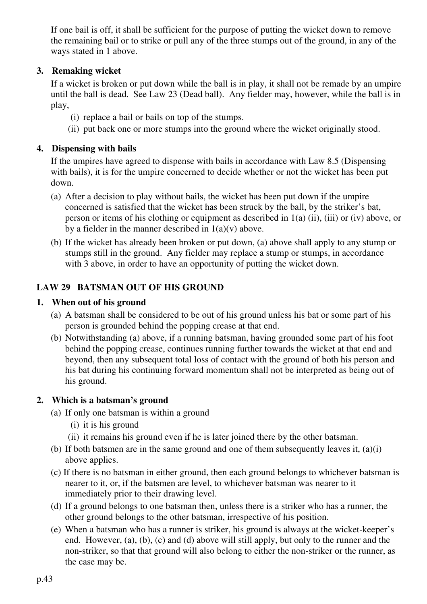If one bail is off, it shall be sufficient for the purpose of putting the wicket down to remove the remaining bail or to strike or pull any of the three stumps out of the ground, in any of the ways stated in 1 above.

# **3. Remaking wicket**

If a wicket is broken or put down while the ball is in play, it shall not be remade by an umpire until the ball is dead. See Law 23 (Dead ball). Any fielder may, however, while the ball is in play,

- (i) replace a bail or bails on top of the stumps.
- (ii) put back one or more stumps into the ground where the wicket originally stood.

# **4. Dispensing with bails**

If the umpires have agreed to dispense with bails in accordance with Law 8.5 (Dispensing with bails), it is for the umpire concerned to decide whether or not the wicket has been put down.

- (a) After a decision to play without bails, the wicket has been put down if the umpire concerned is satisfied that the wicket has been struck by the ball, by the striker's bat, person or items of his clothing or equipment as described in 1(a) (ii), (iii) or (iv) above, or by a fielder in the manner described in  $1(a)(v)$  above.
- (b) If the wicket has already been broken or put down, (a) above shall apply to any stump or stumps still in the ground. Any fielder may replace a stump or stumps, in accordance with 3 above, in order to have an opportunity of putting the wicket down.

# **LAW 29 BATSMAN OUT OF HIS GROUND**

# **1. When out of his ground**

- (a) A batsman shall be considered to be out of his ground unless his bat or some part of his person is grounded behind the popping crease at that end.
- (b) Notwithstanding (a) above, if a running batsman, having grounded some part of his foot behind the popping crease, continues running further towards the wicket at that end and beyond, then any subsequent total loss of contact with the ground of both his person and his bat during his continuing forward momentum shall not be interpreted as being out of his ground.

# **2. Which is a batsman's ground**

- (a) If only one batsman is within a ground
	- (i) it is his ground
	- (ii) it remains his ground even if he is later joined there by the other batsman.
- (b) If both batsmen are in the same ground and one of them subsequently leaves it, (a)(i) above applies.
- (c) If there is no batsman in either ground, then each ground belongs to whichever batsman is nearer to it, or, if the batsmen are level, to whichever batsman was nearer to it immediately prior to their drawing level.
- (d) If a ground belongs to one batsman then, unless there is a striker who has a runner, the other ground belongs to the other batsman, irrespective of his position.
- (e) When a batsman who has a runner is striker, his ground is always at the wicket-keeper's end. However, (a), (b), (c) and (d) above will still apply, but only to the runner and the non-striker, so that that ground will also belong to either the non-striker or the runner, as the case may be.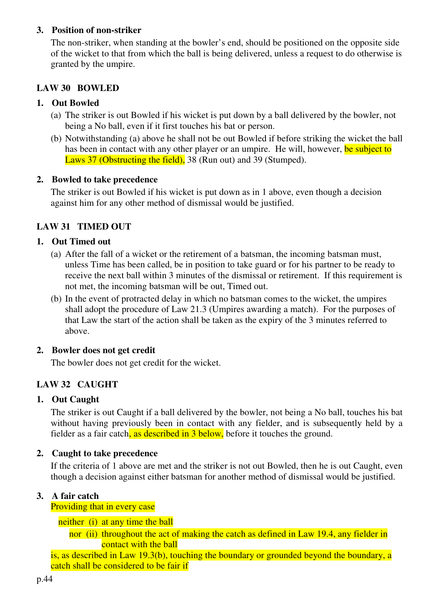# **3. Position of non-striker**

The non-striker, when standing at the bowler's end, should be positioned on the opposite side of the wicket to that from which the ball is being delivered, unless a request to do otherwise is granted by the umpire.

# **LAW 30 BOWLED**

# **1. Out Bowled**

- (a) The striker is out Bowled if his wicket is put down by a ball delivered by the bowler, not being a No ball, even if it first touches his bat or person.
- (b) Notwithstanding (a) above he shall not be out Bowled if before striking the wicket the ball has been in contact with any other player or an umpire. He will, however, be subject to Laws 37 (Obstructing the field), 38 (Run out) and 39 (Stumped).

### **2. Bowled to take precedence**

The striker is out Bowled if his wicket is put down as in 1 above, even though a decision against him for any other method of dismissal would be justified.

# **LAW 31 TIMED OUT**

#### **1. Out Timed out**

- (a) After the fall of a wicket or the retirement of a batsman, the incoming batsman must, unless Time has been called, be in position to take guard or for his partner to be ready to receive the next ball within 3 minutes of the dismissal or retirement. If this requirement is not met, the incoming batsman will be out, Timed out.
- (b) In the event of protracted delay in which no batsman comes to the wicket, the umpires shall adopt the procedure of Law 21.3 (Umpires awarding a match). For the purposes of that Law the start of the action shall be taken as the expiry of the 3 minutes referred to above.

#### **2. Bowler does not get credit**

The bowler does not get credit for the wicket.

# **LAW 32 CAUGHT**

#### **1. Out Caught**

The striker is out Caught if a ball delivered by the bowler, not being a No ball, touches his bat without having previously been in contact with any fielder, and is subsequently held by a fielder as a fair catch, as described in 3 below, before it touches the ground.

#### **2. Caught to take precedence**

If the criteria of 1 above are met and the striker is not out Bowled, then he is out Caught, even though a decision against either batsman for another method of dismissal would be justified.

#### **3. A fair catch**

Providing that in every case

neither (i) at any time the ball

nor (ii) throughout the act of making the catch as defined in Law 19.4, any fielder in contact with the ball

is, as described in Law 19.3(b), touching the boundary or grounded beyond the boundary, a catch shall be considered to be fair if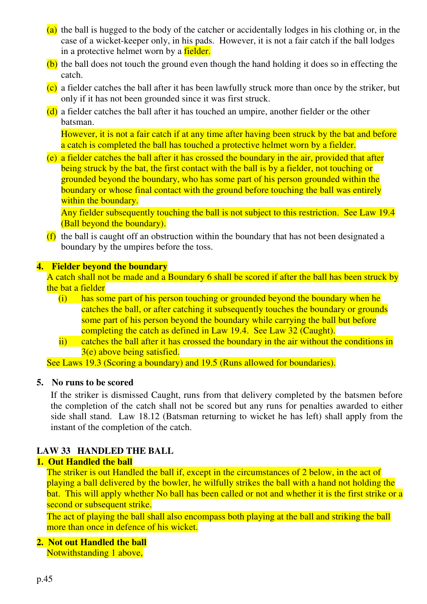- $(a)$  the ball is hugged to the body of the catcher or accidentally lodges in his clothing or, in the case of a wicket-keeper only, in his pads. However, it is not a fair catch if the ball lodges in a protective helmet worn by a fielder.
- $(b)$  the ball does not touch the ground even though the hand holding it does so in effecting the catch.
- (c) a fielder catches the ball after it has been lawfully struck more than once by the striker, but only if it has not been grounded since it was first struck.
- (d) a fielder catches the ball after it has touched an umpire, another fielder or the other batsman.

However, it is not a fair catch if at any time after having been struck by the bat and before a catch is completed the ball has touched a protective helmet worn by a fielder.

(e) a fielder catches the ball after it has crossed the boundary in the air, provided that after being struck by the bat, the first contact with the ball is by a fielder, not touching or grounded beyond the boundary, who has some part of his person grounded within the boundary or whose final contact with the ground before touching the ball was entirely within the boundary.

Any fielder subsequently touching the ball is not subject to this restriction. See Law 19.4 (Ball beyond the boundary).

 $(f)$  the ball is caught off an obstruction within the boundary that has not been designated a boundary by the umpires before the toss.

#### **4. Fielder beyond the boundary**

A catch shall not be made and a Boundary 6 shall be scored if after the ball has been struck by the bat a fielder

- (i) has some part of his person touching or grounded beyond the boundary when he catches the ball, or after catching it subsequently touches the boundary or grounds some part of his person beyond the boundary while carrying the ball but before completing the catch as defined in Law 19.4. See Law 32 (Caught).
- ii) catches the ball after it has crossed the boundary in the air without the conditions in 3(e) above being satisfied.

See Laws 19.3 (Scoring a boundary) and 19.5 (Runs allowed for boundaries).

#### **5. No runs to be scored**

If the striker is dismissed Caught, runs from that delivery completed by the batsmen before the completion of the catch shall not be scored but any runs for penalties awarded to either side shall stand. Law 18.12 (Batsman returning to wicket he has left) shall apply from the instant of the completion of the catch.

# **LAW 33 HANDLED THE BALL**

# **1. Out Handled the ball**

The striker is out Handled the ball if, except in the circumstances of 2 below, in the act of playing a ball delivered by the bowler, he wilfully strikes the ball with a hand not holding the bat. This will apply whether No ball has been called or not and whether it is the first strike or a second or subsequent strike.

The act of playing the ball shall also encompass both playing at the ball and striking the ball more than once in defence of his wicket.

**2. Not out Handled the ball**  Notwithstanding 1 above,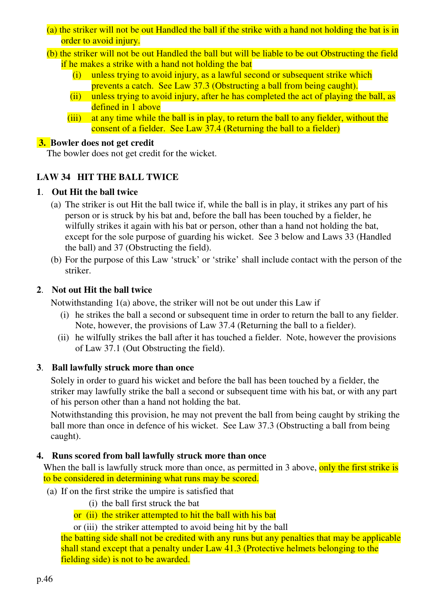- (a) the striker will not be out Handled the ball if the strike with a hand not holding the bat is in order to avoid injury.
- (b) the striker will not be out Handled the ball but will be liable to be out Obstructing the field if he makes a strike with a hand not holding the bat
	- (i) unless trying to avoid injury, as a lawful second or subsequent strike which prevents a catch. See Law 37.3 (Obstructing a ball from being caught).
	- (ii) unless trying to avoid injury, after he has completed the act of playing the ball, as defined in 1 above
	- (iii) at any time while the ball is in play, to return the ball to any fielder, without the consent of a fielder. See Law 37.4 (Returning the ball to a fielder)

### **3. Bowler does not get credit**

The bowler does not get credit for the wicket.

# **LAW 34 HIT THE BALL TWICE**

# **1**. **Out Hit the ball twice**

- (a) The striker is out Hit the ball twice if, while the ball is in play, it strikes any part of his person or is struck by his bat and, before the ball has been touched by a fielder, he wilfully strikes it again with his bat or person, other than a hand not holding the bat, except for the sole purpose of guarding his wicket. See 3 below and Laws 33 (Handled the ball) and 37 (Obstructing the field).
- (b) For the purpose of this Law 'struck' or 'strike' shall include contact with the person of the striker.

# **2**. **Not out Hit the ball twice**

Notwithstanding 1(a) above, the striker will not be out under this Law if

- (i) he strikes the ball a second or subsequent time in order to return the ball to any fielder. Note, however, the provisions of Law 37.4 (Returning the ball to a fielder).
- (ii) he wilfully strikes the ball after it has touched a fielder. Note, however the provisions of Law 37.1 (Out Obstructing the field).

# **3**. **Ball lawfully struck more than once**

Solely in order to guard his wicket and before the ball has been touched by a fielder, the striker may lawfully strike the ball a second or subsequent time with his bat, or with any part of his person other than a hand not holding the bat.

Notwithstanding this provision, he may not prevent the ball from being caught by striking the ball more than once in defence of his wicket. See Law 37.3 (Obstructing a ball from being caught).

# **4. Runs scored from ball lawfully struck more than once**

When the ball is lawfully struck more than once, as permitted in 3 above, only the first strike is to be considered in determining what runs may be scored.

- (a) If on the first strike the umpire is satisfied that
	- (i) the ball first struck the bat
	- or (ii) the striker attempted to hit the ball with his bat
	- or (iii) the striker attempted to avoid being hit by the ball

the batting side shall not be credited with any runs but any penalties that may be applicable shall stand except that a penalty under Law 41.3 (Protective helmets belonging to the fielding side) is not to be awarded.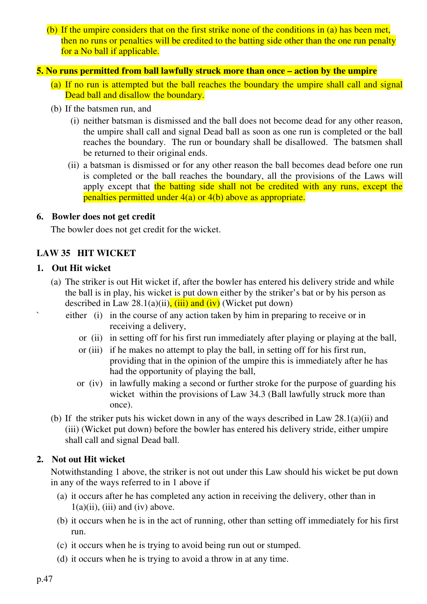(b) If the umpire considers that on the first strike none of the conditions in (a) has been met, then no runs or penalties will be credited to the batting side other than the one run penalty for a No ball if applicable.

#### **5. No runs permitted from ball lawfully struck more than once – action by the umpire**

- (a) If no run is attempted but the ball reaches the boundary the umpire shall call and signal Dead ball and disallow the boundary.
- (b) If the batsmen run, and
	- (i) neither batsman is dismissed and the ball does not become dead for any other reason, the umpire shall call and signal Dead ball as soon as one run is completed or the ball reaches the boundary. The run or boundary shall be disallowed. The batsmen shall be returned to their original ends.
	- (ii) a batsman is dismissed or for any other reason the ball becomes dead before one run is completed or the ball reaches the boundary, all the provisions of the Laws will apply except that the batting side shall not be credited with any runs, except the penalties permitted under 4(a) or 4(b) above as appropriate.

#### **6. Bowler does not get credit**

The bowler does not get credit for the wicket.

### **LAW 35 HIT WICKET**

#### **1. Out Hit wicket**

- (a) The striker is out Hit wicket if, after the bowler has entered his delivery stride and while the ball is in play, his wicket is put down either by the striker's bat or by his person as described in Law 28.1(a)(ii), (iii) and (iv) (Wicket put down)
	- either (i) in the course of any action taken by him in preparing to receive or in receiving a delivery,
		- or (ii) in setting off for his first run immediately after playing or playing at the ball,
		- or (iii) if he makes no attempt to play the ball, in setting off for his first run, providing that in the opinion of the umpire this is immediately after he has had the opportunity of playing the ball,
		- or (iv) in lawfully making a second or further stroke for the purpose of guarding his wicket within the provisions of Law 34.3 (Ball lawfully struck more than once).
- (b) If the striker puts his wicket down in any of the ways described in Law 28.1(a)(ii) and (iii) (Wicket put down) before the bowler has entered his delivery stride, either umpire shall call and signal Dead ball.

#### **2. Not out Hit wicket**

Notwithstanding 1 above, the striker is not out under this Law should his wicket be put down in any of the ways referred to in 1 above if

- (a) it occurs after he has completed any action in receiving the delivery, other than in  $1(a)(ii)$ , (iii) and (iv) above.
- (b) it occurs when he is in the act of running, other than setting off immediately for his first run.
- (c) it occurs when he is trying to avoid being run out or stumped.
- (d) it occurs when he is trying to avoid a throw in at any time.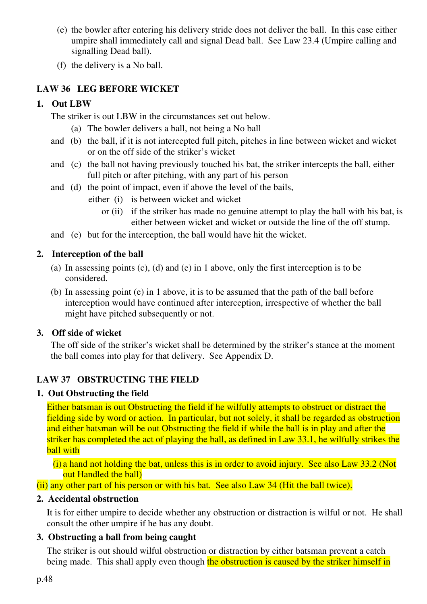- (e) the bowler after entering his delivery stride does not deliver the ball. In this case either umpire shall immediately call and signal Dead ball. See Law 23.4 (Umpire calling and signalling Dead ball).
- (f) the delivery is a No ball.

# **LAW 36 LEG BEFORE WICKET**

# **1. Out LBW**

The striker is out LBW in the circumstances set out below.

- (a) The bowler delivers a ball, not being a No ball
- and (b) the ball, if it is not intercepted full pitch, pitches in line between wicket and wicket or on the off side of the striker's wicket
- and (c) the ball not having previously touched his bat, the striker intercepts the ball, either full pitch or after pitching, with any part of his person
- and (d) the point of impact, even if above the level of the bails,
	- either (i) is between wicket and wicket
		- or (ii) if the striker has made no genuine attempt to play the ball with his bat, is either between wicket and wicket or outside the line of the off stump.
- and (e) but for the interception, the ball would have hit the wicket.

# **2. Interception of the ball**

- (a) In assessing points (c), (d) and (e) in 1 above, only the first interception is to be considered.
- (b) In assessing point (e) in 1 above, it is to be assumed that the path of the ball before interception would have continued after interception, irrespective of whether the ball might have pitched subsequently or not.

# **3. Off side of wicket**

The off side of the striker's wicket shall be determined by the striker's stance at the moment the ball comes into play for that delivery. See Appendix D.

# **LAW 37 OBSTRUCTING THE FIELD**

# **1. Out Obstructing the field**

Either batsman is out Obstructing the field if he wilfully attempts to obstruct or distract the fielding side by word or action. In particular, but not solely, it shall be regarded as obstruction and either batsman will be out Obstructing the field if while the ball is in play and after the striker has completed the act of playing the ball, as defined in Law 33.1, he wilfully strikes the ball with

(i) a hand not holding the bat, unless this is in order to avoid injury. See also Law 33.2 (Not out Handled the ball)

(ii) any other part of his person or with his bat. See also Law 34 (Hit the ball twice).

# **2. Accidental obstruction**

It is for either umpire to decide whether any obstruction or distraction is wilful or not. He shall consult the other umpire if he has any doubt.

# **3. Obstructing a ball from being caught**

The striker is out should wilful obstruction or distraction by either batsman prevent a catch being made. This shall apply even though the obstruction is caused by the striker himself in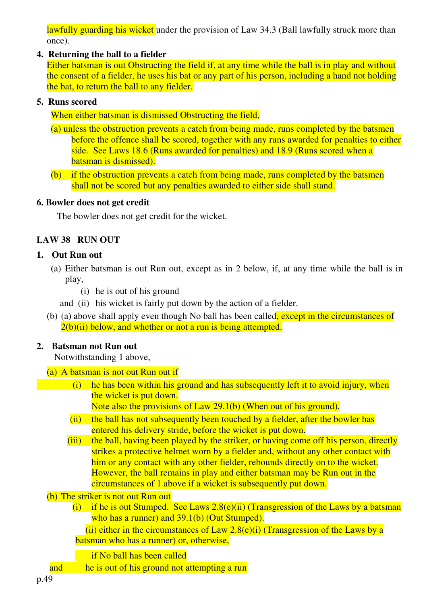lawfully guarding his wicket under the provision of Law 34.3 (Ball lawfully struck more than once).

### **4. Returning the ball to a fielder**

Either batsman is out Obstructing the field if, at any time while the ball is in play and without the consent of a fielder, he uses his bat or any part of his person, including a hand not holding the bat, to return the ball to any fielder.

#### **5. Runs scored**

### When either batsman is dismissed Obstructing the field,

- (a) unless the obstruction prevents a catch from being made, runs completed by the batsmen before the offence shall be scored, together with any runs awarded for penalties to either side. See Laws 18.6 (Runs awarded for penalties) and 18.9 (Runs scored when a batsman is dismissed).
- (b) if the obstruction prevents a catch from being made, runs completed by the batsmen shall not be scored but any penalties awarded to either side shall stand.

#### **6. Bowler does not get credit**

The bowler does not get credit for the wicket.

# **LAW 38 RUN OUT**

### **1. Out Run out**

- **(**a) Either batsman is out Run out, except as in 2 below, if, at any time while the ball is in play,
	- (i) he is out of his ground
	- and (ii) his wicket is fairly put down by the action of a fielder.
- (b) (a) above shall apply even though No ball has been called, except in the circumstances of  $2(b)(ii)$  below, and whether or not a run is being attempted.

# **2. Batsman not Run out**

Notwithstanding 1 above,

#### (a) A batsman is not out Run out if

(i) he has been within his ground and has subsequently left it to avoid injury, when the wicket is put down.

Note also the provisions of Law 29.1(b) (When out of his ground).

- (ii) the ball has not subsequently been touched by a fielder, after the bowler has entered his delivery stride, before the wicket is put down.
- (iii) the ball, having been played by the striker, or having come off his person, directly strikes a protective helmet worn by a fielder and, without any other contact with him or any contact with any other fielder, rebounds directly on to the wicket. However, the ball remains in play and either batsman may be Run out in the circumstances of 1 above if a wicket is subsequently put down.
- (b) The striker is not out Run out
	- (i) if he is out Stumped. See Laws 2.8(e)(ii) (Transgression of the Laws by a batsman who has a runner) and 39.1(b) (Out Stumped).

(ii) either in the circumstances of Law 2.8(e)(i) (Transgression of the Laws by a batsman who has a runner) or, otherwise,

#### if No ball has been called

and he is out of his ground not attempting a run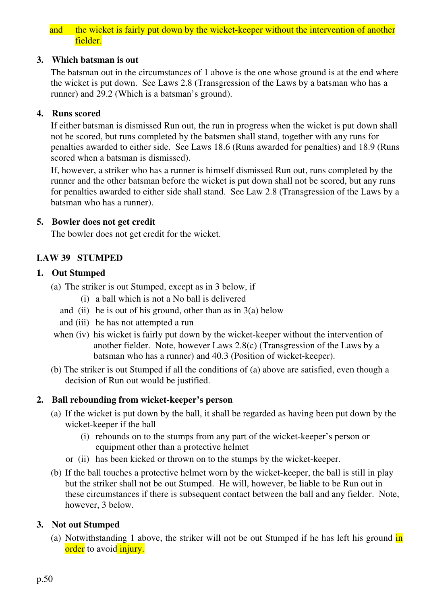#### and the wicket is fairly put down by the wicket-keeper without the intervention of another fielder.

### **3. Which batsman is out**

The batsman out in the circumstances of 1 above is the one whose ground is at the end where the wicket is put down. See Laws 2.8 (Transgression of the Laws by a batsman who has a runner) and 29.2 (Which is a batsman's ground).

### **4. Runs scored**

If either batsman is dismissed Run out, the run in progress when the wicket is put down shall not be scored, but runs completed by the batsmen shall stand, together with any runs for penalties awarded to either side. See Laws 18.6 (Runs awarded for penalties) and 18.9 (Runs scored when a batsman is dismissed).

If, however, a striker who has a runner is himself dismissed Run out, runs completed by the runner and the other batsman before the wicket is put down shall not be scored, but any runs for penalties awarded to either side shall stand. See Law 2.8 (Transgression of the Laws by a batsman who has a runner).

### **5. Bowler does not get credit**

The bowler does not get credit for the wicket.

# **LAW 39 STUMPED**

#### **1. Out Stumped**

- (a) The striker is out Stumped, except as in 3 below, if
	- (i) a ball which is not a No ball is delivered
	- and (ii) he is out of his ground, other than as in  $3(a)$  below
	- and (iii) he has not attempted a run
- when (iv) his wicket is fairly put down by the wicket-keeper without the intervention of another fielder. Note, however Laws 2.8(c) (Transgression of the Laws by a batsman who has a runner) and 40.3 (Position of wicket-keeper).
- (b) The striker is out Stumped if all the conditions of (a) above are satisfied, even though a decision of Run out would be justified.

# **2. Ball rebounding from wicket-keeper's person**

- (a) If the wicket is put down by the ball, it shall be regarded as having been put down by the wicket-keeper if the ball
	- (i) rebounds on to the stumps from any part of the wicket-keeper's person or equipment other than a protective helmet
	- or (ii) has been kicked or thrown on to the stumps by the wicket-keeper.
- (b) If the ball touches a protective helmet worn by the wicket-keeper, the ball is still in play but the striker shall not be out Stumped. He will, however, be liable to be Run out in these circumstances if there is subsequent contact between the ball and any fielder. Note, however, 3 below.

#### **3. Not out Stumped**

(a) Notwithstanding 1 above, the striker will not be out Stumped if he has left his ground in order to avoid *injury*.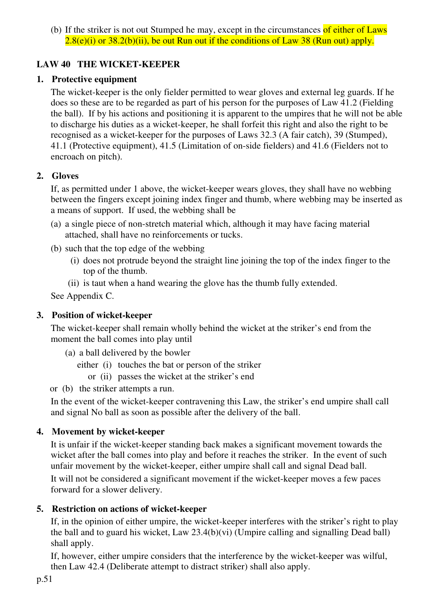(b) If the striker is not out Stumped he may, except in the circumstances of either of Laws  $2.8(e)(i)$  or  $38.2(b)(ii)$ , be out Run out if the conditions of Law 38 (Run out) apply.

# **LAW 40 THE WICKET-KEEPER**

# **1. Protective equipment**

The wicket-keeper is the only fielder permitted to wear gloves and external leg guards. If he does so these are to be regarded as part of his person for the purposes of Law 41.2 (Fielding the ball). If by his actions and positioning it is apparent to the umpires that he will not be able to discharge his duties as a wicket-keeper, he shall forfeit this right and also the right to be recognised as a wicket-keeper for the purposes of Laws 32.3 (A fair catch), 39 (Stumped), 41.1 (Protective equipment), 41.5 (Limitation of on-side fielders) and 41.6 (Fielders not to encroach on pitch).

# **2. Gloves**

If, as permitted under 1 above, the wicket-keeper wears gloves, they shall have no webbing between the fingers except joining index finger and thumb, where webbing may be inserted as a means of support. If used, the webbing shall be

- (a) a single piece of non-stretch material which, although it may have facing material attached, shall have no reinforcements or tucks.
- (b) such that the top edge of the webbing
	- (i) does not protrude beyond the straight line joining the top of the index finger to the top of the thumb.
	- (ii) is taut when a hand wearing the glove has the thumb fully extended.

See Appendix C.

# **3. Position of wicket-keeper**

The wicket-keeper shall remain wholly behind the wicket at the striker's end from the moment the ball comes into play until

- (a) a ball delivered by the bowler
	- either (i) touches the bat or person of the striker
		- or (ii) passes the wicket at the striker's end
- or (b) the striker attempts a run.

In the event of the wicket-keeper contravening this Law, the striker's end umpire shall call and signal No ball as soon as possible after the delivery of the ball.

# **4. Movement by wicket-keeper**

It is unfair if the wicket-keeper standing back makes a significant movement towards the wicket after the ball comes into play and before it reaches the striker. In the event of such unfair movement by the wicket-keeper, either umpire shall call and signal Dead ball.

It will not be considered a significant movement if the wicket-keeper moves a few paces forward for a slower delivery.

# **5. Restriction on actions of wicket-keeper**

If, in the opinion of either umpire, the wicket-keeper interferes with the striker's right to play the ball and to guard his wicket, Law 23.4(b)(vi) (Umpire calling and signalling Dead ball) shall apply.

If, however, either umpire considers that the interference by the wicket-keeper was wilful, then Law 42.4 (Deliberate attempt to distract striker) shall also apply.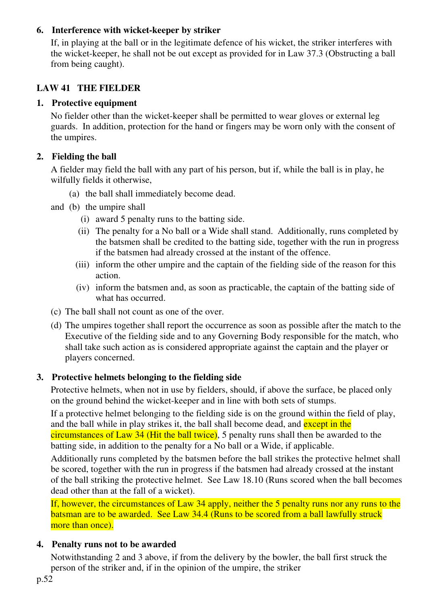# **6. Interference with wicket-keeper by striker**

If, in playing at the ball or in the legitimate defence of his wicket, the striker interferes with the wicket-keeper, he shall not be out except as provided for in Law 37.3 (Obstructing a ball from being caught).

# **LAW 41 THE FIELDER**

### **1. Protective equipment**

No fielder other than the wicket-keeper shall be permitted to wear gloves or external leg guards. In addition, protection for the hand or fingers may be worn only with the consent of the umpires.

# **2. Fielding the ball**

A fielder may field the ball with any part of his person, but if, while the ball is in play, he wilfully fields it otherwise,

- (a) the ball shall immediately become dead.
- and (b) the umpire shall
	- (i) award 5 penalty runs to the batting side.
	- (ii) The penalty for a No ball or a Wide shall stand. Additionally, runs completed by the batsmen shall be credited to the batting side, together with the run in progress if the batsmen had already crossed at the instant of the offence.
	- (iii) inform the other umpire and the captain of the fielding side of the reason for this action.
	- (iv) inform the batsmen and, as soon as practicable, the captain of the batting side of what has occurred.
- (c) The ball shall not count as one of the over.
- (d) The umpires together shall report the occurrence as soon as possible after the match to the Executive of the fielding side and to any Governing Body responsible for the match, who shall take such action as is considered appropriate against the captain and the player or players concerned.

# **3. Protective helmets belonging to the fielding side**

Protective helmets, when not in use by fielders, should, if above the surface, be placed only on the ground behind the wicket-keeper and in line with both sets of stumps.

If a protective helmet belonging to the fielding side is on the ground within the field of play, and the ball while in play strikes it, the ball shall become dead, and except in the circumstances of Law 34 (Hit the ball twice), 5 penalty runs shall then be awarded to the batting side, in addition to the penalty for a No ball or a Wide, if applicable.

Additionally runs completed by the batsmen before the ball strikes the protective helmet shall be scored, together with the run in progress if the batsmen had already crossed at the instant of the ball striking the protective helmet. See Law 18.10 (Runs scored when the ball becomes dead other than at the fall of a wicket).

If, however, the circumstances of Law 34 apply, neither the 5 penalty runs nor any runs to the batsman are to be awarded. See Law 34.4 (Runs to be scored from a ball lawfully struck more than once).

# **4. Penalty runs not to be awarded**

Notwithstanding 2 and 3 above, if from the delivery by the bowler, the ball first struck the person of the striker and, if in the opinion of the umpire, the striker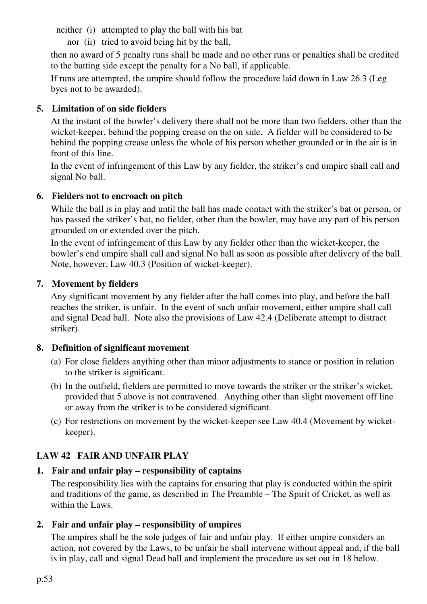neither (i) attempted to play the ball with his bat

nor (ii) tried to avoid being hit by the ball,

then no award of 5 penalty runs shall be made and no other runs or penalties shall be credited to the batting side except the penalty for a No ball, if applicable.

If runs are attempted, the umpire should follow the procedure laid down in Law 26.3 (Leg byes not to be awarded).

# **5. Limitation of on side fielders**

At the instant of the bowler's delivery there shall not be more than two fielders, other than the wicket-keeper, behind the popping crease on the on side. A fielder will be considered to be behind the popping crease unless the whole of his person whether grounded or in the air is in front of this line.

In the event of infringement of this Law by any fielder, the striker's end umpire shall call and signal No ball.

# **6. Fielders not to encroach on pitch**

While the ball is in play and until the ball has made contact with the striker's bat or person, or has passed the striker's bat, no fielder, other than the bowler, may have any part of his person grounded on or extended over the pitch.

In the event of infringement of this Law by any fielder other than the wicket-keeper, the bowler's end umpire shall call and signal No ball as soon as possible after delivery of the ball. Note, however, Law 40.3 (Position of wicket-keeper).

# **7. Movement by fielders**

Any significant movement by any fielder after the ball comes into play, and before the ball reaches the striker, is unfair. In the event of such unfair movement, either umpire shall call and signal Dead ball. Note also the provisions of Law 42.4 (Deliberate attempt to distract striker).

# **8. Definition of significant movement**

- (a) For close fielders anything other than minor adjustments to stance or position in relation to the striker is significant.
- (b) In the outfield, fielders are permitted to move towards the striker or the striker's wicket, provided that 5 above is not contravened. Anything other than slight movement off line or away from the striker is to be considered significant.
- (c) For restrictions on movement by the wicket-keeper see Law 40.4 (Movement by wicketkeeper).

# **LAW 42 FAIR AND UNFAIR PLAY**

# **1. Fair and unfair play – responsibility of captains**

The responsibility lies with the captains for ensuring that play is conducted within the spirit and traditions of the game, as described in The Preamble – The Spirit of Cricket, as well as within the Laws.

# **2. Fair and unfair play – responsibility of umpires**

The umpires shall be the sole judges of fair and unfair play. If either umpire considers an action, not covered by the Laws, to be unfair he shall intervene without appeal and, if the ball is in play, call and signal Dead ball and implement the procedure as set out in 18 below.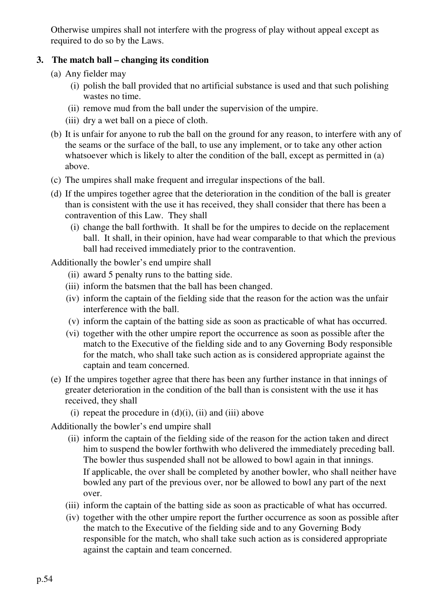Otherwise umpires shall not interfere with the progress of play without appeal except as required to do so by the Laws.

# **3. The match ball – changing its condition**

- (a) Any fielder may
	- (i) polish the ball provided that no artificial substance is used and that such polishing wastes no time.
	- (ii) remove mud from the ball under the supervision of the umpire.
	- (iii) dry a wet ball on a piece of cloth.
- (b) It is unfair for anyone to rub the ball on the ground for any reason, to interfere with any of the seams or the surface of the ball, to use any implement, or to take any other action whatsoever which is likely to alter the condition of the ball, except as permitted in (a) above.
- (c) The umpires shall make frequent and irregular inspections of the ball.
- (d) If the umpires together agree that the deterioration in the condition of the ball is greater than is consistent with the use it has received, they shall consider that there has been a contravention of this Law. They shall
	- (i) change the ball forthwith. It shall be for the umpires to decide on the replacement ball. It shall, in their opinion, have had wear comparable to that which the previous ball had received immediately prior to the contravention.

Additionally the bowler's end umpire shall

- (ii) award 5 penalty runs to the batting side.
- (iii) inform the batsmen that the ball has been changed.
- (iv) inform the captain of the fielding side that the reason for the action was the unfair interference with the ball.
- (v) inform the captain of the batting side as soon as practicable of what has occurred.
- (vi) together with the other umpire report the occurrence as soon as possible after the match to the Executive of the fielding side and to any Governing Body responsible for the match, who shall take such action as is considered appropriate against the captain and team concerned.
- (e) If the umpires together agree that there has been any further instance in that innings of greater deterioration in the condition of the ball than is consistent with the use it has received, they shall
	- (i) repeat the procedure in  $(d)(i)$ ,  $(ii)$  and  $(iii)$  above

Additionally the bowler's end umpire shall

- (ii) inform the captain of the fielding side of the reason for the action taken and direct him to suspend the bowler forthwith who delivered the immediately preceding ball. The bowler thus suspended shall not be allowed to bowl again in that innings. If applicable, the over shall be completed by another bowler, who shall neither have bowled any part of the previous over, nor be allowed to bowl any part of the next over.
- (iii) inform the captain of the batting side as soon as practicable of what has occurred.
- (iv) together with the other umpire report the further occurrence as soon as possible after the match to the Executive of the fielding side and to any Governing Body responsible for the match, who shall take such action as is considered appropriate against the captain and team concerned.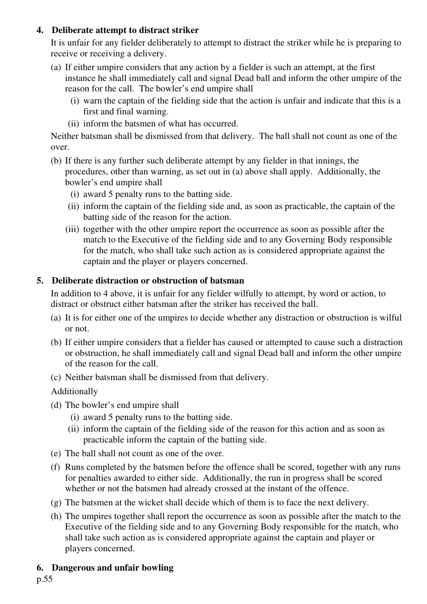# **4. Deliberate attempt to distract striker**

It is unfair for any fielder deliberately to attempt to distract the striker while he is preparing to receive or receiving a delivery.

- (a) If either umpire considers that any action by a fielder is such an attempt, at the first instance he shall immediately call and signal Dead ball and inform the other umpire of the reason for the call. The bowler's end umpire shall
	- (i) warn the captain of the fielding side that the action is unfair and indicate that this is a first and final warning.
	- (ii) inform the batsmen of what has occurred.

Neither batsman shall be dismissed from that delivery. The ball shall not count as one of the over.

- (b) If there is any further such deliberate attempt by any fielder in that innings, the procedures, other than warning, as set out in (a) above shall apply. Additionally, the bowler's end umpire shall
	- (i) award 5 penalty runs to the batting side.
	- (ii) inform the captain of the fielding side and, as soon as practicable, the captain of the batting side of the reason for the action.
	- (iii) together with the other umpire report the occurrence as soon as possible after the match to the Executive of the fielding side and to any Governing Body responsible for the match, who shall take such action as is considered appropriate against the captain and the player or players concerned.

# **5. Deliberate distraction or obstruction of batsman**

In addition to 4 above, it is unfair for any fielder wilfully to attempt, by word or action, to distract or obstruct either batsman after the striker has received the ball.

- (a) It is for either one of the umpires to decide whether any distraction or obstruction is wilful or not.
- (b) If either umpire considers that a fielder has caused or attempted to cause such a distraction or obstruction, he shall immediately call and signal Dead ball and inform the other umpire of the reason for the call.
- (c) Neither batsman shall be dismissed from that delivery.

Additionally

- (d) The bowler's end umpire shall
	- (i) award 5 penalty runs to the batting side.
	- (ii) inform the captain of the fielding side of the reason for this action and as soon as practicable inform the captain of the batting side.
- (e) The ball shall not count as one of the over.
- (f) Runs completed by the batsmen before the offence shall be scored, together with any runs for penalties awarded to either side. Additionally, the run in progress shall be scored whether or not the batsmen had already crossed at the instant of the offence.
- (g) The batsmen at the wicket shall decide which of them is to face the next delivery.
- (h) The umpires together shall report the occurrence as soon as possible after the match to the Executive of the fielding side and to any Governing Body responsible for the match, who shall take such action as is considered appropriate against the captain and player or players concerned.

# **6. Dangerous and unfair bowling**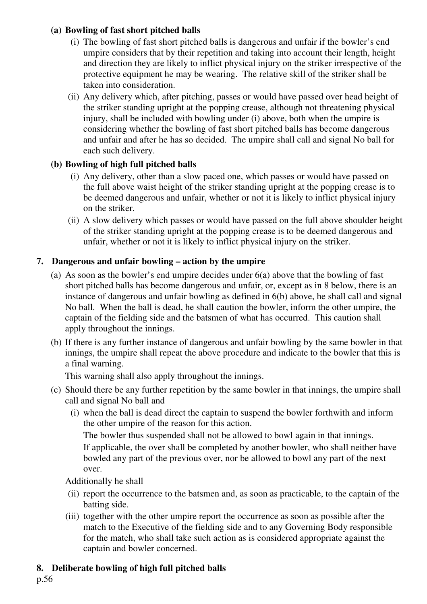### **(a) Bowling of fast short pitched balls**

- (i) The bowling of fast short pitched balls is dangerous and unfair if the bowler's end umpire considers that by their repetition and taking into account their length, height and direction they are likely to inflict physical injury on the striker irrespective of the protective equipment he may be wearing. The relative skill of the striker shall be taken into consideration.
- (ii) Any delivery which, after pitching, passes or would have passed over head height of the striker standing upright at the popping crease, although not threatening physical injury, shall be included with bowling under (i) above, both when the umpire is considering whether the bowling of fast short pitched balls has become dangerous and unfair and after he has so decided. The umpire shall call and signal No ball for each such delivery.

# **(b) Bowling of high full pitched balls**

- (i) Any delivery, other than a slow paced one, which passes or would have passed on the full above waist height of the striker standing upright at the popping crease is to be deemed dangerous and unfair, whether or not it is likely to inflict physical injury on the striker.
- (ii) A slow delivery which passes or would have passed on the full above shoulder height of the striker standing upright at the popping crease is to be deemed dangerous and unfair, whether or not it is likely to inflict physical injury on the striker.

# **7. Dangerous and unfair bowling – action by the umpire**

- (a) As soon as the bowler's end umpire decides under 6(a) above that the bowling of fast short pitched balls has become dangerous and unfair, or, except as in 8 below, there is an instance of dangerous and unfair bowling as defined in 6(b) above, he shall call and signal No ball. When the ball is dead, he shall caution the bowler, inform the other umpire, the captain of the fielding side and the batsmen of what has occurred. This caution shall apply throughout the innings.
- (b) If there is any further instance of dangerous and unfair bowling by the same bowler in that innings, the umpire shall repeat the above procedure and indicate to the bowler that this is a final warning.

This warning shall also apply throughout the innings.

- (c) Should there be any further repetition by the same bowler in that innings, the umpire shall call and signal No ball and
	- (i) when the ball is dead direct the captain to suspend the bowler forthwith and inform the other umpire of the reason for this action.

The bowler thus suspended shall not be allowed to bowl again in that innings. If applicable, the over shall be completed by another bowler, who shall neither have bowled any part of the previous over, nor be allowed to bowl any part of the next over.

Additionally he shall

- (ii) report the occurrence to the batsmen and, as soon as practicable, to the captain of the batting side.
- (iii) together with the other umpire report the occurrence as soon as possible after the match to the Executive of the fielding side and to any Governing Body responsible for the match, who shall take such action as is considered appropriate against the captain and bowler concerned.

# **8. Deliberate bowling of high full pitched balls**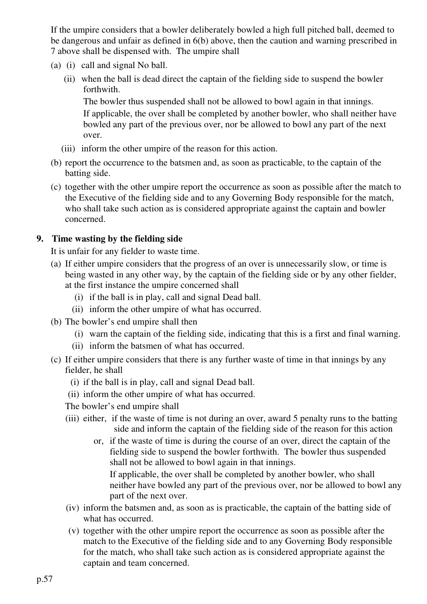If the umpire considers that a bowler deliberately bowled a high full pitched ball, deemed to be dangerous and unfair as defined in 6(b) above, then the caution and warning prescribed in 7 above shall be dispensed with. The umpire shall

- (a) (i) call and signal No ball.
	- (ii) when the ball is dead direct the captain of the fielding side to suspend the bowler forthwith.

The bowler thus suspended shall not be allowed to bowl again in that innings. If applicable, the over shall be completed by another bowler, who shall neither have bowled any part of the previous over, nor be allowed to bowl any part of the next over.

- (iii) inform the other umpire of the reason for this action.
- (b) report the occurrence to the batsmen and, as soon as practicable, to the captain of the batting side.
- (c) together with the other umpire report the occurrence as soon as possible after the match to the Executive of the fielding side and to any Governing Body responsible for the match, who shall take such action as is considered appropriate against the captain and bowler concerned.

### **9. Time wasting by the fielding side**

It is unfair for any fielder to waste time.

- (a) If either umpire considers that the progress of an over is unnecessarily slow, or time is being wasted in any other way, by the captain of the fielding side or by any other fielder, at the first instance the umpire concerned shall
	- (i) if the ball is in play, call and signal Dead ball.
	- (ii) inform the other umpire of what has occurred.
- (b) The bowler's end umpire shall then
	- (i) warn the captain of the fielding side, indicating that this is a first and final warning.
	- (ii) inform the batsmen of what has occurred.
- (c) If either umpire considers that there is any further waste of time in that innings by any fielder, he shall
	- (i) if the ball is in play, call and signal Dead ball.
	- (ii) inform the other umpire of what has occurred.
	- The bowler's end umpire shall
	- (iii) either, if the waste of time is not during an over, award 5 penalty runs to the batting side and inform the captain of the fielding side of the reason for this action
		- or, if the waste of time is during the course of an over, direct the captain of the fielding side to suspend the bowler forthwith. The bowler thus suspended shall not be allowed to bowl again in that innings.

If applicable, the over shall be completed by another bowler, who shall neither have bowled any part of the previous over, nor be allowed to bowl any part of the next over.

- (iv) inform the batsmen and, as soon as is practicable, the captain of the batting side of what has occurred.
- (v) together with the other umpire report the occurrence as soon as possible after the match to the Executive of the fielding side and to any Governing Body responsible for the match, who shall take such action as is considered appropriate against the captain and team concerned.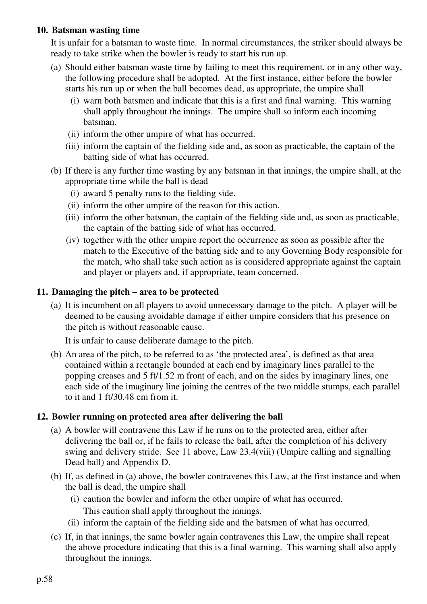#### **10. Batsman wasting time**

It is unfair for a batsman to waste time. In normal circumstances, the striker should always be ready to take strike when the bowler is ready to start his run up.

- (a) Should either batsman waste time by failing to meet this requirement, or in any other way, the following procedure shall be adopted. At the first instance, either before the bowler starts his run up or when the ball becomes dead, as appropriate, the umpire shall
	- (i) warn both batsmen and indicate that this is a first and final warning. This warning shall apply throughout the innings. The umpire shall so inform each incoming batsman.
	- (ii) inform the other umpire of what has occurred.
	- (iii) inform the captain of the fielding side and, as soon as practicable, the captain of the batting side of what has occurred.
- (b) If there is any further time wasting by any batsman in that innings, the umpire shall, at the appropriate time while the ball is dead
	- (i) award 5 penalty runs to the fielding side.
	- (ii) inform the other umpire of the reason for this action.
	- (iii) inform the other batsman, the captain of the fielding side and, as soon as practicable, the captain of the batting side of what has occurred.
	- (iv) together with the other umpire report the occurrence as soon as possible after the match to the Executive of the batting side and to any Governing Body responsible for the match, who shall take such action as is considered appropriate against the captain and player or players and, if appropriate, team concerned.

# **11. Damaging the pitch – area to be protected**

(a) It is incumbent on all players to avoid unnecessary damage to the pitch. A player will be deemed to be causing avoidable damage if either umpire considers that his presence on the pitch is without reasonable cause.

It is unfair to cause deliberate damage to the pitch.

(b) An area of the pitch, to be referred to as 'the protected area', is defined as that area contained within a rectangle bounded at each end by imaginary lines parallel to the popping creases and 5 ft/1.52 m front of each, and on the sides by imaginary lines, one each side of the imaginary line joining the centres of the two middle stumps, each parallel to it and 1 ft/30.48 cm from it.

# **12. Bowler running on protected area after delivering the ball**

- (a) A bowler will contravene this Law if he runs on to the protected area, either after delivering the ball or, if he fails to release the ball, after the completion of his delivery swing and delivery stride. See 11 above, Law 23.4(viii) (Umpire calling and signalling Dead ball) and Appendix D.
- (b) If, as defined in (a) above, the bowler contravenes this Law, at the first instance and when the ball is dead, the umpire shall
	- (i) caution the bowler and inform the other umpire of what has occurred. This caution shall apply throughout the innings.
	- (ii) inform the captain of the fielding side and the batsmen of what has occurred.
- (c) If, in that innings, the same bowler again contravenes this Law, the umpire shall repeat the above procedure indicating that this is a final warning. This warning shall also apply throughout the innings.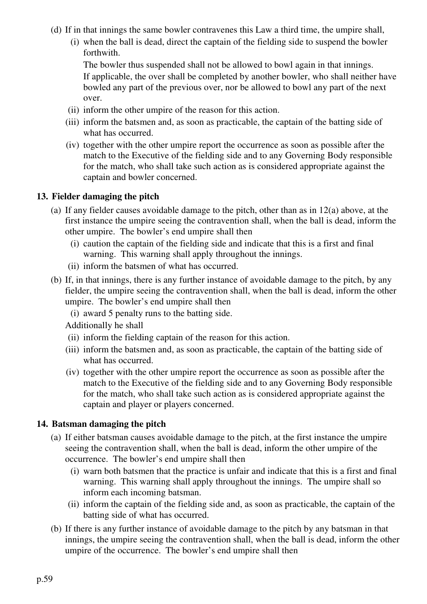- (d) If in that innings the same bowler contravenes this Law a third time, the umpire shall,
	- (i) when the ball is dead, direct the captain of the fielding side to suspend the bowler forthwith.

The bowler thus suspended shall not be allowed to bowl again in that innings. If applicable, the over shall be completed by another bowler, who shall neither have bowled any part of the previous over, nor be allowed to bowl any part of the next over.

- (ii) inform the other umpire of the reason for this action.
- (iii) inform the batsmen and, as soon as practicable, the captain of the batting side of what has occurred.
- (iv) together with the other umpire report the occurrence as soon as possible after the match to the Executive of the fielding side and to any Governing Body responsible for the match, who shall take such action as is considered appropriate against the captain and bowler concerned.

# **13. Fielder damaging the pitch**

- (a) If any fielder causes avoidable damage to the pitch, other than as in 12(a) above, at the first instance the umpire seeing the contravention shall, when the ball is dead, inform the other umpire. The bowler's end umpire shall then
	- (i) caution the captain of the fielding side and indicate that this is a first and final warning. This warning shall apply throughout the innings.
	- (ii) inform the batsmen of what has occurred.
- (b) If, in that innings, there is any further instance of avoidable damage to the pitch, by any fielder, the umpire seeing the contravention shall, when the ball is dead, inform the other umpire. The bowler's end umpire shall then
	- (i) award 5 penalty runs to the batting side.
	- Additionally he shall
	- (ii) inform the fielding captain of the reason for this action.
	- (iii) inform the batsmen and, as soon as practicable, the captain of the batting side of what has occurred.
	- (iv) together with the other umpire report the occurrence as soon as possible after the match to the Executive of the fielding side and to any Governing Body responsible for the match, who shall take such action as is considered appropriate against the captain and player or players concerned.

# **14. Batsman damaging the pitch**

- (a) If either batsman causes avoidable damage to the pitch, at the first instance the umpire seeing the contravention shall, when the ball is dead, inform the other umpire of the occurrence. The bowler's end umpire shall then
	- (i) warn both batsmen that the practice is unfair and indicate that this is a first and final warning. This warning shall apply throughout the innings. The umpire shall so inform each incoming batsman.
	- (ii) inform the captain of the fielding side and, as soon as practicable, the captain of the batting side of what has occurred.
- (b) If there is any further instance of avoidable damage to the pitch by any batsman in that innings, the umpire seeing the contravention shall, when the ball is dead, inform the other umpire of the occurrence. The bowler's end umpire shall then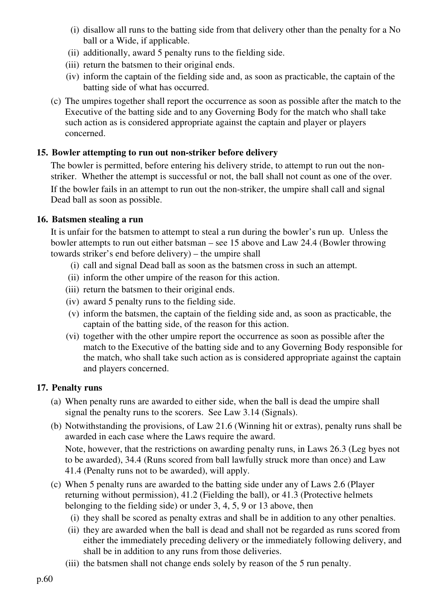- (i) disallow all runs to the batting side from that delivery other than the penalty for a No ball or a Wide, if applicable.
- (ii) additionally, award 5 penalty runs to the fielding side.
- (iii) return the batsmen to their original ends.
- (iv) inform the captain of the fielding side and, as soon as practicable, the captain of the batting side of what has occurred.
- (c) The umpires together shall report the occurrence as soon as possible after the match to the Executive of the batting side and to any Governing Body for the match who shall take such action as is considered appropriate against the captain and player or players concerned.

# **15. Bowler attempting to run out non-striker before delivery**

The bowler is permitted, before entering his delivery stride, to attempt to run out the nonstriker. Whether the attempt is successful or not, the ball shall not count as one of the over. If the bowler fails in an attempt to run out the non-striker, the umpire shall call and signal Dead ball as soon as possible.

#### **16. Batsmen stealing a run**

It is unfair for the batsmen to attempt to steal a run during the bowler's run up. Unless the bowler attempts to run out either batsman – see 15 above and Law 24.4 (Bowler throwing towards striker's end before delivery) – the umpire shall

- (i) call and signal Dead ball as soon as the batsmen cross in such an attempt.
- (ii) inform the other umpire of the reason for this action.
- (iii) return the batsmen to their original ends.
- (iv) award 5 penalty runs to the fielding side.
- (v) inform the batsmen, the captain of the fielding side and, as soon as practicable, the captain of the batting side, of the reason for this action.
- (vi) together with the other umpire report the occurrence as soon as possible after the match to the Executive of the batting side and to any Governing Body responsible for the match, who shall take such action as is considered appropriate against the captain and players concerned.

# **17. Penalty runs**

- (a) When penalty runs are awarded to either side, when the ball is dead the umpire shall signal the penalty runs to the scorers. See Law 3.14 (Signals).
- (b) Notwithstanding the provisions, of Law 21.6 (Winning hit or extras), penalty runs shall be awarded in each case where the Laws require the award. Note, however, that the restrictions on awarding penalty runs, in Laws 26.3 (Leg byes not to be awarded), 34.4 (Runs scored from ball lawfully struck more than once) and Law

41.4 (Penalty runs not to be awarded), will apply.

- (c) When 5 penalty runs are awarded to the batting side under any of Laws 2.6 (Player returning without permission), 41.2 (Fielding the ball), or 41.3 (Protective helmets belonging to the fielding side) or under 3, 4, 5, 9 or 13 above, then
	- (i) they shall be scored as penalty extras and shall be in addition to any other penalties.
	- (ii) they are awarded when the ball is dead and shall not be regarded as runs scored from either the immediately preceding delivery or the immediately following delivery, and shall be in addition to any runs from those deliveries.
	- (iii) the batsmen shall not change ends solely by reason of the 5 run penalty.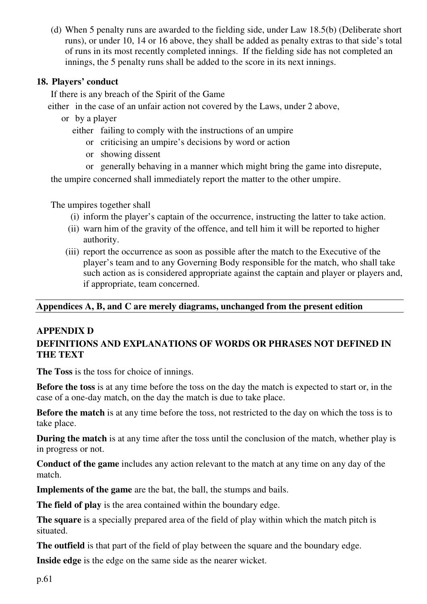(d) When 5 penalty runs are awarded to the fielding side, under Law 18.5(b) (Deliberate short runs), or under 10, 14 or 16 above, they shall be added as penalty extras to that side's total of runs in its most recently completed innings. If the fielding side has not completed an innings, the 5 penalty runs shall be added to the score in its next innings.

# **18. Players' conduct**

If there is any breach of the Spirit of the Game

either in the case of an unfair action not covered by the Laws, under 2 above,

or by a player

either failing to comply with the instructions of an umpire

- or criticising an umpire's decisions by word or action
- or showing dissent
- or generally behaving in a manner which might bring the game into disrepute,

the umpire concerned shall immediately report the matter to the other umpire.

The umpires together shall

- (i) inform the player's captain of the occurrence, instructing the latter to take action.
- (ii) warn him of the gravity of the offence, and tell him it will be reported to higher authority.
- (iii) report the occurrence as soon as possible after the match to the Executive of the player's team and to any Governing Body responsible for the match, who shall take such action as is considered appropriate against the captain and player or players and, if appropriate, team concerned.

# **Appendices A, B, and C are merely diagrams, unchanged from the present edition**

### **APPENDIX D DEFINITIONS AND EXPLANATIONS OF WORDS OR PHRASES NOT DEFINED IN THE TEXT**

**The Toss** is the toss for choice of innings.

**Before the toss** is at any time before the toss on the day the match is expected to start or, in the case of a one-day match, on the day the match is due to take place.

**Before the match** is at any time before the toss, not restricted to the day on which the toss is to take place.

**During the match** is at any time after the toss until the conclusion of the match, whether play is in progress or not.

**Conduct of the game** includes any action relevant to the match at any time on any day of the match.

**Implements of the game** are the bat, the ball, the stumps and bails.

**The field of play** is the area contained within the boundary edge.

**The square** is a specially prepared area of the field of play within which the match pitch is situated.

**The outfield** is that part of the field of play between the square and the boundary edge.

**Inside edge** is the edge on the same side as the nearer wicket.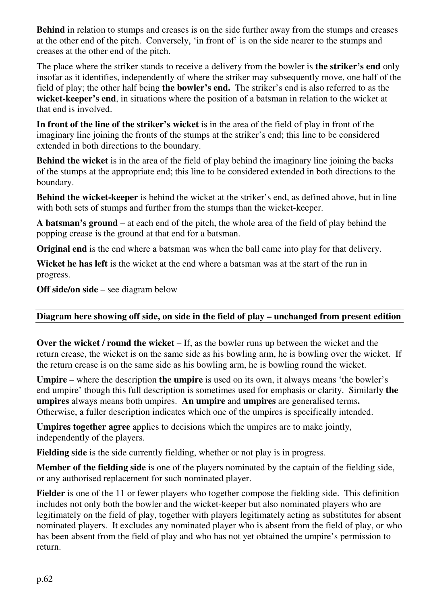**Behind** in relation to stumps and creases is on the side further away from the stumps and creases at the other end of the pitch. Conversely, 'in front of' is on the side nearer to the stumps and creases at the other end of the pitch.

The place where the striker stands to receive a delivery from the bowler is **the striker's end** only insofar as it identifies, independently of where the striker may subsequently move, one half of the field of play; the other half being **the bowler's end.** The striker's end is also referred to as the **wicket-keeper's end**, in situations where the position of a batsman in relation to the wicket at that end is involved.

**In front of the line of the striker's wicket** is in the area of the field of play in front of the imaginary line joining the fronts of the stumps at the striker's end; this line to be considered extended in both directions to the boundary.

**Behind the wicket** is in the area of the field of play behind the imaginary line joining the backs of the stumps at the appropriate end; this line to be considered extended in both directions to the boundary.

**Behind the wicket-keeper** is behind the wicket at the striker's end, as defined above, but in line with both sets of stumps and further from the stumps than the wicket-keeper.

**A batsman's ground** – at each end of the pitch, the whole area of the field of play behind the popping crease is the ground at that end for a batsman.

**Original end** is the end where a batsman was when the ball came into play for that delivery.

**Wicket he has left** is the wicket at the end where a batsman was at the start of the run in progress.

**Off side/on side** – see diagram below

# **Diagram here showing off side, on side in the field of play – unchanged from present edition**

**Over the wicket / round the wicket** – If, as the bowler runs up between the wicket and the return crease, the wicket is on the same side as his bowling arm, he is bowling over the wicket. If the return crease is on the same side as his bowling arm, he is bowling round the wicket.

**Umpire** – where the description **the umpire** is used on its own, it always means 'the bowler's end umpire' though this full description is sometimes used for emphasis or clarity. Similarly **the umpires** always means both umpires. **An umpire** and **umpires** are generalised terms**.**  Otherwise, a fuller description indicates which one of the umpires is specifically intended.

**Umpires together agree** applies to decisions which the umpires are to make jointly, independently of the players.

**Fielding side** is the side currently fielding, whether or not play is in progress.

**Member of the fielding side** is one of the players nominated by the captain of the fielding side, or any authorised replacement for such nominated player.

**Fielder** is one of the 11 or fewer players who together compose the fielding side. This definition includes not only both the bowler and the wicket-keeper but also nominated players who are legitimately on the field of play, together with players legitimately acting as substitutes for absent nominated players. It excludes any nominated player who is absent from the field of play, or who has been absent from the field of play and who has not yet obtained the umpire's permission to return.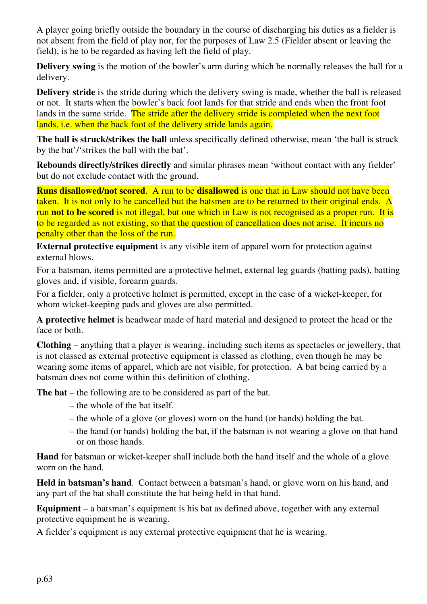A player going briefly outside the boundary in the course of discharging his duties as a fielder is not absent from the field of play nor, for the purposes of Law 2.5 (Fielder absent or leaving the field), is he to be regarded as having left the field of play.

**Delivery swing** is the motion of the bowler's arm during which he normally releases the ball for a delivery.

**Delivery stride** is the stride during which the delivery swing is made, whether the ball is released or not. It starts when the bowler's back foot lands for that stride and ends when the front foot lands in the same stride. The stride after the delivery stride is completed when the next foot lands, i.e. when the back foot of the delivery stride lands again.

**The ball is struck/strikes the ball** unless specifically defined otherwise, mean 'the ball is struck by the bat'/'strikes the ball with the bat'.

**Rebounds directly/strikes directly** and similar phrases mean 'without contact with any fielder' but do not exclude contact with the ground.

**Runs disallowed/not scored**. A run to be **disallowed** is one that in Law should not have been taken. It is not only to be cancelled but the batsmen are to be returned to their original ends. A run **not to be scored** is not illegal, but one which in Law is not recognised as a proper run. It is to be regarded as not existing, so that the question of cancellation does not arise. It incurs no penalty other than the loss of the run.

**External protective equipment** is any visible item of apparel worn for protection against external blows.

For a batsman, items permitted are a protective helmet, external leg guards (batting pads), batting gloves and, if visible, forearm guards.

For a fielder, only a protective helmet is permitted, except in the case of a wicket-keeper, for whom wicket-keeping pads and gloves are also permitted.

**A protective helmet** is headwear made of hard material and designed to protect the head or the face or both.

**Clothing** – anything that a player is wearing, including such items as spectacles or jewellery, that is not classed as external protective equipment is classed as clothing, even though he may be wearing some items of apparel, which are not visible, for protection. A bat being carried by a batsman does not come within this definition of clothing.

**The bat** – the following are to be considered as part of the bat.

- the whole of the bat itself.
- the whole of a glove (or gloves) worn on the hand (or hands) holding the bat.
- the hand (or hands) holding the bat, if the batsman is not wearing a glove on that hand or on those hands.

**Hand** for batsman or wicket-keeper shall include both the hand itself and the whole of a glove worn on the hand.

**Held in batsman's hand**. Contact between a batsman's hand, or glove worn on his hand, and any part of the bat shall constitute the bat being held in that hand.

**Equipment** – a batsman's equipment is his bat as defined above, together with any external protective equipment he is wearing.

A fielder's equipment is any external protective equipment that he is wearing.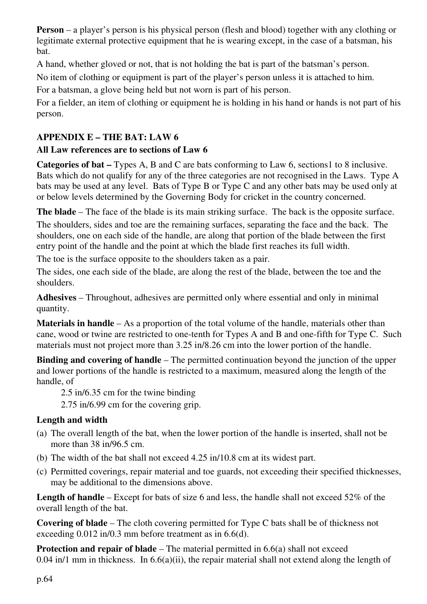**Person** – a player's person is his physical person (flesh and blood) together with any clothing or legitimate external protective equipment that he is wearing except, in the case of a batsman, his bat.

A hand, whether gloved or not, that is not holding the bat is part of the batsman's person.

No item of clothing or equipment is part of the player's person unless it is attached to him.

For a batsman, a glove being held but not worn is part of his person.

For a fielder, an item of clothing or equipment he is holding in his hand or hands is not part of his person.

# **APPENDIX E – THE BAT: LAW 6**

# **All Law references are to sections of Law 6**

**Categories of bat –** Types A, B and C are bats conforming to Law 6, sections1 to 8 inclusive. Bats which do not qualify for any of the three categories are not recognised in the Laws. Type A bats may be used at any level. Bats of Type B or Type C and any other bats may be used only at or below levels determined by the Governing Body for cricket in the country concerned.

**The blade** – The face of the blade is its main striking surface. The back is the opposite surface.

The shoulders, sides and toe are the remaining surfaces, separating the face and the back. The shoulders, one on each side of the handle, are along that portion of the blade between the first entry point of the handle and the point at which the blade first reaches its full width.

The toe is the surface opposite to the shoulders taken as a pair.

The sides, one each side of the blade, are along the rest of the blade, between the toe and the shoulders.

**Adhesives** – Throughout, adhesives are permitted only where essential and only in minimal quantity.

**Materials in handle** – As a proportion of the total volume of the handle, materials other than cane, wood or twine are restricted to one-tenth for Types A and B and one-fifth for Type C. Such materials must not project more than 3.25 in/8.26 cm into the lower portion of the handle.

**Binding and covering of handle** – The permitted continuation beyond the junction of the upper and lower portions of the handle is restricted to a maximum, measured along the length of the handle, of

2.5 in/6.35 cm for the twine binding

2.75 in/6.99 cm for the covering grip.

# **Length and width**

- (a) The overall length of the bat, when the lower portion of the handle is inserted, shall not be more than 38 in/96.5 cm.
- (b) The width of the bat shall not exceed 4.25 in/10.8 cm at its widest part.
- (c) Permitted coverings, repair material and toe guards, not exceeding their specified thicknesses, may be additional to the dimensions above.

**Length of handle** – Except for bats of size 6 and less, the handle shall not exceed 52% of the overall length of the bat.

**Covering of blade** – The cloth covering permitted for Type C bats shall be of thickness not exceeding 0.012 in/0.3 mm before treatment as in 6.6(d).

**Protection and repair of blade** – The material permitted in 6.6(a) shall not exceed 0.04 in/1 mm in thickness. In 6.6(a)(ii), the repair material shall not extend along the length of